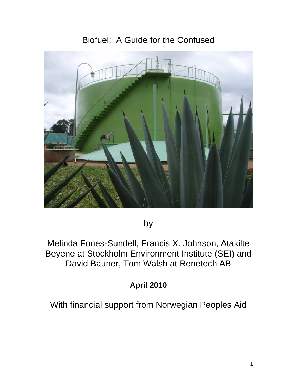# Biofuel: A Guide for the Confused



by

Melinda Fones-Sundell, Francis X. Johnson, Atakilte Beyene at Stockholm Environment Institute (SEI) and David Bauner, Tom Walsh at Renetech AB

# **April 2010**

With financial support from Norwegian Peoples Aid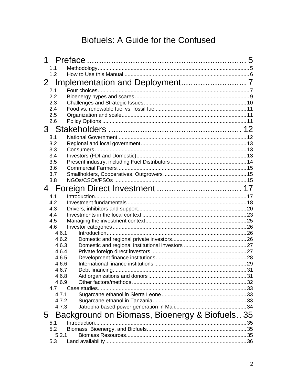# Biofuels: A Guide for the Confused

| 1                                                   |    |
|-----------------------------------------------------|----|
| 1.1                                                 |    |
| 1.2                                                 |    |
| $2 -$                                               |    |
| 2.1                                                 |    |
| 2.2                                                 |    |
| 2.3                                                 |    |
| 2.4                                                 |    |
| 2.5                                                 |    |
| 2.6                                                 |    |
|                                                     |    |
| 3.1                                                 |    |
| 3.2                                                 |    |
| 3.3                                                 |    |
| 3.4                                                 |    |
| 3.5                                                 |    |
| 3.6                                                 |    |
| 3.7                                                 |    |
| 3.8                                                 |    |
| 4                                                   |    |
| 4.1                                                 |    |
| 4.2                                                 |    |
| 4.3                                                 |    |
| 4.4                                                 |    |
| 4.5                                                 |    |
| 4.6                                                 |    |
| 4.6.1                                               |    |
| 4.6.2                                               |    |
| 4.6.3                                               |    |
| 4.6.4<br>4.6.5                                      |    |
| 4.6.6                                               |    |
| 4.6.7                                               |    |
| 4.6.8                                               |    |
| 4.6.9                                               |    |
| 4.7                                                 |    |
| 4.7.1                                               |    |
| 4.7.2                                               |    |
| 4.7.3                                               |    |
| Background on Biomass, Bioenergy & Biofuels 35<br>5 |    |
| 5.1                                                 | 35 |
| 5.2                                                 |    |
| 5.2.1                                               |    |
| 5.3                                                 |    |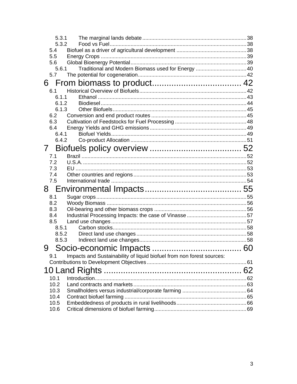| 5.3.1         |                                                                       |  |
|---------------|-----------------------------------------------------------------------|--|
| 5.3.2         |                                                                       |  |
| 5.4           |                                                                       |  |
| 5.5<br>5.6    |                                                                       |  |
| 5.6.1         | Traditional and Modern Biomass used for Energy  40                    |  |
| 5.7           |                                                                       |  |
|               |                                                                       |  |
| 6.1           |                                                                       |  |
| 6.1.1         |                                                                       |  |
| 6.1.2         |                                                                       |  |
| 6.1.3         |                                                                       |  |
| 6.2           |                                                                       |  |
| 6.3           |                                                                       |  |
| 6.4           |                                                                       |  |
| 6.4.1         |                                                                       |  |
| 6.4.2         |                                                                       |  |
| $\mathcal{I}$ |                                                                       |  |
| 7.1           |                                                                       |  |
| 7.2           |                                                                       |  |
| 7.3           |                                                                       |  |
|               |                                                                       |  |
| 7.4           |                                                                       |  |
| 7.5           |                                                                       |  |
|               |                                                                       |  |
| 8.1           |                                                                       |  |
| 8.2           |                                                                       |  |
| 8.3           |                                                                       |  |
| 8.4           |                                                                       |  |
| 8.5<br>8.5.1  |                                                                       |  |
| 8.5.2         |                                                                       |  |
| 8.5.3         |                                                                       |  |
| 9             |                                                                       |  |
| 9.1           |                                                                       |  |
|               | Impacts and Sustainability of liquid biofuel from non forest sources: |  |
|               |                                                                       |  |
|               |                                                                       |  |
| 10.1<br>10.2  |                                                                       |  |
| 10.3          |                                                                       |  |
| 10.4          |                                                                       |  |
| 10.5<br>10.6  |                                                                       |  |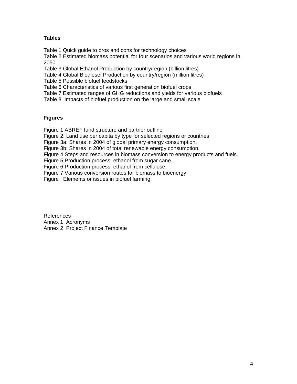#### **Tables**

Table 1 Quick guide to pros and cons for technology choices

Table 2 Estimated biomass potential for four scenarios and various world regions in 2050

Table 3 Global Ethanol Production by country/region (billion litres)

Table 4 Global Biodiesel Production by country/region (million litres)

Table 5 Possible biofuel feedstocks

Table 6 Characteristics of various first generation biofuel crops

Table 7 Estimated ranges of GHG reductions and yields for various biofuels

Table 8 Impacts of biofuel production on the large and small scale

#### **Figures**

Figure 1 ABREF fund structure and partner outline

Figure 2: Land use per capita by type for selected regions or countries

Figure 3a: Shares in 2004 of global primary energy consumption.

Figure 3b: Shares in 2004 of total renewable energy consumption.

Figure 4 Steps and resources in biomass conversion to energy products and fuels.

Figure 5 Production process, ethanol from sugar cane.

Figure 6 Production process, ethanol from cellulose.

Figure 7 Various conversion routes for biomass to bioenergy

Figure . Elements or issues in biofuel farming.

References Annex 1 Acronyms Annex 2 Project Finance Template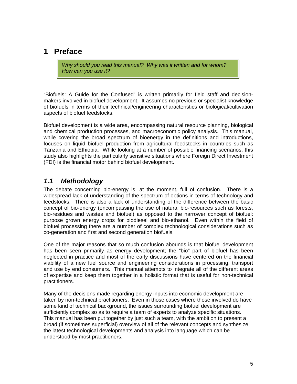## <span id="page-4-0"></span>**1 Preface**

*Why should you read this manual? Why was it written and for whom? How can you use it?* 

"Biofuels: A Guide for the Confused" is written primarily for field staff and decisionmakers involved in biofuel development. It assumes no previous or specialist knowledge of biofuels in terms of their technical/engineering characteristics or biological/cultivation aspects of biofuel feedstocks.

Biofuel development is a wide area, encompassing natural resource planning, biological and chemical production processes, and macroeconomic policy analysis. This manual, while covering the broad spectrum of bioenergy in the definitions and introductions, focuses on liquid biofuel production from agricultural feedstocks in countries such as Tanzania and Ethiopia. While looking at a number of possible financing scenarios, this study also highlights the particularly sensitive situations where Foreign Direct Investment (FDI) is the financial motor behind biofuel development.

#### *1.1 Methodology*

The debate concerning bio-energy is, at the moment, full of confusion. There is a widespread lack of understanding of the spectrum of options in terms of technology and feedstocks. There is also a lack of understanding of the difference between the basic concept of bio-energy (encompassing the use of natural bio-resources such as forests, bio-residues and wastes and biofuel) as opposed to the narrower concept of biofuel: purpose grown energy crops for biodiesel and bio-ethanol. Even within the field of biofuel processing there are a number of complex technological considerations such as co-generation and first and second generation biofuels.

One of the major reasons that so much confusion abounds is that biofuel development has been seen primarily as energy development; the "bio" part of biofuel has been neglected in practice and most of the early discussions have centered on the financial viability of a new fuel source and engineering considerations in processing, transport and use by end consumers. This manual attempts to integrate all of the different areas of expertise and keep them together in a holistic format that is useful for non-technical practitioners.

Many of the decisions made regarding energy inputs into economic development are taken by non-technical practitioners. Even in those cases where those involved do have some kind of technical background, the issues surrounding biofuel development are sufficiently complex so as to require a team of experts to analyze specific situations. This manual has been put together by just such a team, with the ambition to present a broad (if sometimes superficial) overview of all of the relevant concepts and synthesize the latest technological developments and analysis into language which can be understood by most practitioners.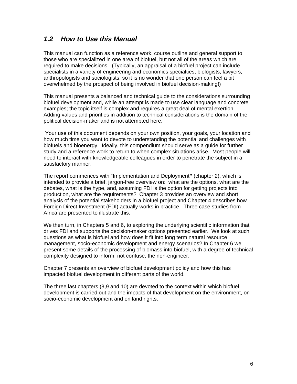#### <span id="page-5-0"></span>*1.2 How to Use this Manual*

This manual can function as a reference work, course outline and general support to those who are specialized in one area of biofuel, but not all of the areas which are required to make decisions. (Typically, an appraisal of a biofuel project can include specialists in a variety of engineering and economics specialties, biologists, lawyers, anthropologists and sociologists, so it is no wonder that one person can feel a bit overwhelmed by the prospect of being involved in biofuel decision-making!)

This manual presents a balanced and technical guide to the considerations surrounding biofuel development and, while an attempt is made to use clear language and concrete examples; the topic itself is complex and requires a great deal of mental exertion. Adding values and priorities in addition to technical considerations is the domain of the political decision-maker and is not attempted here.

 Your use of this document depends on your own position, your goals, your location and how much time you want to devote to understanding the potential and challenges with biofuels and bioenergy. Ideally, this compendium should serve as a guide for further study and a reference work to return to when complex situations arise. Most people will need to interact with knowledgeable colleagues in order to penetrate the subject in a satisfactory manner.

The report commences with "Implementation and Deployment**"** (chapter [2\)](#page-6-1), which is intended to provide a brief, jargon-free overview on: what are the options, what are the debates, what is the hype, and, assuming FDI is the option for getting projects into production, what are the requirements? Chapter 3 provides an overview and short analysis of the potential stakeholders in a biofuel project and Chapter 4 describes how Foreign Direct Investment (FDI) actually works in practice. Three case studies from Africa are presented to illustrate this.

We then turn, in Chapters 5 and 6, to exploring the underlying scientific information that drives FDI and supports the decision-maker options presented earlier. We look at such questions as what is biofuel and how does it fit into long term natural resource management, socio-economic development and energy scenarios? In Chapter 6 we present some details of the processing of biomass into biofuel, with a degree of technical complexity designed to inform, not confuse, the non-engineer.

Chapter 7 presents an overview of biofuel development policy and how this has impacted biofuel development in different parts of the world.

The three last chapters (8,9 and 10) are devoted to the context within which biofuel development is carried out and the impacts of that development on the environment, on socio-economic development and on land rights.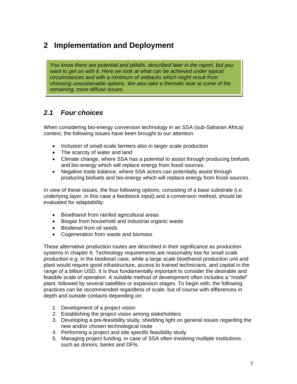## <span id="page-6-1"></span><span id="page-6-0"></span>**2 Implementation and Deployment**

*You know there are potential and pitfalls, described later in the report, but you*  want to get on with it. Here we look at what can be achieved under typical *circumstances and with a minimum of setbacks which might result from choosing unsustainable options. We also take a thematic look at some of the remaining, more diffuse issues.* 

## *2.1 Four choices*

When considering bio-energy conversion technology in an SSA (sub-Saharan Africa) context, the following issues have been brought to our attention:

- Inclusion of small-scale farmers also in larger scale production
- The scarcity of water and land
- Climate change, where SSA has a potential to assist through producing biofuels and bio-energy which will replace energy from fossil sources.
- Negative trade balance, where SSA actors can potentially assist through producing biofuels and bio-energy which will replace energy from fossil sources.

In view of these issues, the four following options, consisting of a base substrate (i.e. underlying layer, in this case a feedstock input) and a conversion method, should be evaluated for adaptability:

- Bioethanol from rainfed agricultural areas
- Biogas from household and industrial organic waste
- Biodiesel from oil seeds
- Cogeneration from waste and biomass

These alternative production routes are described in their significance as production systems in chapter [6.](#page-41-1) Technology requirements are reasonably low for small scale production e.g. in the biodiesel case, while a large scale bioethanol production unit and plant would require good infrastructure, access to trained technicians, and capital in the range of a billion USD. It is thus fundamentally important to consider the desirable and feasible scale of operation. A suitable method of development often includes a "model" plant, followed by several satellites or expansion stages. To begin with, the following practices can be recommended regardless of scale, but of course with differences in depth and outside contacts depending on:

- 1. Development of a project vision
- 2. Establishing the project vision among stakeholders
- 3. Developing a pre-feasibility study, shedding light on general issues regarding the new and/or chosen technological route
- 4. Performing a project and site specific feasibility study
- 5. Managing project funding, in case of SSA often involving multiple institutions such as donors, banks and DFIs.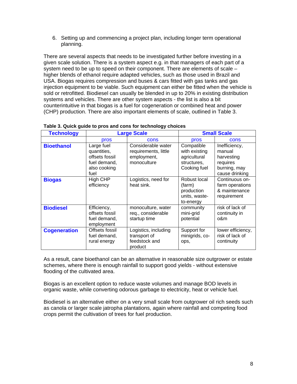6. Setting up and commencing a project plan, including longer term operational planning.

There are several aspects that needs to be investigated further before investing in a given scale solution. There is a system aspect e.g. in that managers of each part of a system need to be up to speed on their component. There are elements of scale – higher blends of ethanol require adapted vehicles, such as those used in Brazil and USA. Biogas requires compression and buses & cars fitted with gas tanks and gas injection equipment to be viable. Such equipment can either be fitted when the vehicle is sold or retrofitted. Biodiesel can usually be blended in up to 20% in existing distribution systems and vehicles. There are other system aspects - the list is also a bit counterintuitive in that biogas is a fuel for cogeneration or combined heat and power (CHP) production. There are also important elements of scale, outlined in [Table 3.](#page-7-0)

<span id="page-7-0"></span>

| <b>Technology</b>   | <b>Large Scale</b>                                                                  |                                                                          | <b>Small Scale</b>                                                         |                                                                                     |
|---------------------|-------------------------------------------------------------------------------------|--------------------------------------------------------------------------|----------------------------------------------------------------------------|-------------------------------------------------------------------------------------|
|                     | pros                                                                                | cons                                                                     | pros                                                                       | cons                                                                                |
| <b>Bioethanol</b>   | Large fuel<br>quantities,<br>offsets fossil<br>fuel demand,<br>also cooking<br>fuel | Considerable water<br>requirements, little<br>employment,<br>monoculture | Compatible<br>with existing<br>agricultural<br>structures,<br>Cooking fuel | Inefficiency,<br>manual<br>harvesting<br>requires<br>burning, may<br>cause drinking |
| <b>Biogas</b>       | High CHP<br>efficiency                                                              | Logistics, need for<br>heat sink.                                        | Robust local<br>(farm)<br>production<br>units, waste-<br>to-energy         | Continuous on-<br>farm operations<br>& maintenance<br>requirement                   |
| <b>Biodiesel</b>    | Efficiency,<br>offsets fossil<br>fuel demand,<br>employment                         | monoculture, water<br>req., considerable<br>startup time                 | community<br>mini-grid<br>potential                                        | risk of lack of<br>continuity in<br>o&m                                             |
| <b>Cogeneration</b> | Offsets fossil<br>fuel demand,<br>rural energy                                      | Logistics, including<br>transport of<br>feedstock and<br>product         | Support for<br>minigrids, co-<br>ops,                                      | lower efficiency,<br>risk of lack of<br>continuity                                  |

| Table 3. Quick guide to pros and cons for technology choices |  |  |
|--------------------------------------------------------------|--|--|
|--------------------------------------------------------------|--|--|

As a result, cane bioethanol can be an alternative in reasonable size outgrower or estate schemes, where there is enough rainfall to support good yields - without extensive flooding of the cultivated area.

Biogas is an excellent option to reduce waste volumes and manage BOD levels in organic waste, while converting odorous garbage to electricity, heat or vehicle fuel.

Biodiesel is an alternative either on a very small scale from outgrower oil rich seeds such as canola or larger scale jatropha plantations, again where rainfall and competing food crops permit the cultivation of trees for fuel production.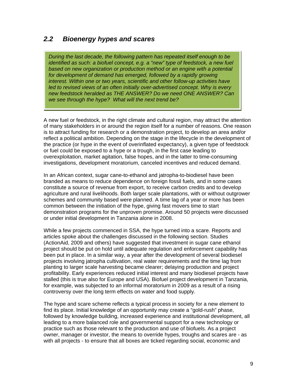#### <span id="page-8-1"></span><span id="page-8-0"></span>*2.2 Bioenergy hypes and scares*

*During the last decade, the following pattern has repeated itself enough to be identified as such: a biofuel concept, e.g. a "new" type of feedstock, a new fuel based on new organization or production method or an engine with a potential for development of demand has emerged, followed by a rapidly growing interest. Within one or two years, scientific and other follow-up activities have led to revised views of an often initially over-advertised concept. Why is every new feedstock heralded as THE ANSWER? Do we need ONE ANSWER? Can we see through the hype? What will the next trend be?* 

A new fuel or feedstock, in the right climate and cultural region, may attract the attention of many stakeholders in or around the region itself for a number of reasons. One reason is to attract funding for research or a demonstration project, to develop an area and/or reflect a political ambition. Depending on the stage in the lifecycle in the development of the practice (or hype in the event of overinflated expectancy), a given type of feedstock or fuel could be exposed to a hype or a trough, in the first case leading to overexploitation, market agitation, false hopes, and in the latter to time-consuming investigations, development moratorium, canceled incentives and reduced demand.

In an African context, sugar cane-to-ethanol and jatropha-to-biodiesel have been branded as means to reduce dependence on foreign fossil fuels, and in some cases constitute a source of revenue from export, to receive carbon credits and to develop agriculture and rural livelihoods. Both larger scale plantations, with or without outgrower schemes and community based were planned. A time lag of a year or more has been common between the initiation of the hype, giving fast movers time to start demonstration programs for the unproven promise. Around 50 projects were discussed or under initial development in Tanzania alone in 2008.

While a few projects commenced in SSA, the hype turned into a scare. Reports and articles spoke about the challenges discussed in the following section. Studies (ActionAid, 2009 and others) have suggested that investment in sugar cane ethanol project should be put on hold until adequate regulation and enforcement capability has been put in place. In a similar way, a year after the development of several biodiesel projects involving jatropha cultivation, real water requirements and the time lag from planting to larger scale harvesting became clearer; delaying production and project profitability. Early experiences reduced initial interest and many biodiesel projects have stalled (this is true also for Europe and USA). Biofuel project development in Tanzania, for example, was subjected to an informal moratorium in 2009 as a result of a rising controversy over the long term effects on water and food supply.

The hype and scare scheme reflects a typical process in society for a new element to find its place. Initial knowledge of an opportunity may create a "gold-rush" phase, followed by knowledge building, increased experience and institutional development, all leading to a more balanced role and governmental support for a new technology or practice such as those relevant to the production and use of biofuels. As a project owner, manager or investor, the means to override hypes, troughs and scares are - as with all projects - to ensure that all boxes are ticked regarding social, economic and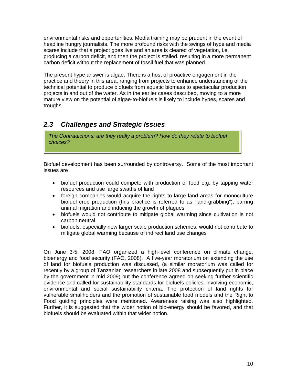<span id="page-9-0"></span>environmental risks and opportunities. Media training may be prudent in the event of headline hungry journalists. The more profound risks with the swings of hype and media scares include that a project goes live and an area is cleared of vegetation, i.e. producing a carbon deficit, and then the project is stalled, resulting in a more permanent carbon deficit without the replacement of fossil fuel that was planned.

The present hype answer is algae. There is a host of proactive engagement in the practice and theory in this area, ranging from projects to enhance understanding of the technical potential to produce biofuels from aquatic biomass to spectacular production projects in and out of the water. As in the earlier cases described, moving to a more mature view on the potential of algae-to-biofuels is likely to include hypes, scares and troughs.

## *2.3 Challenges and Strategic Issues*

*The Contradictions: are they really a problem? How do they relate to biofuel choices?*

Biofuel development has been surrounded by controversy. Some of the most important issues are

- biofuel production could compete with production of food e.g. by tapping water resources and use large swaths of land
- foreign companies would acquire the rights to large land areas for monoculture biofuel crop production (this practice is referred to as "land-grabbing"), barring animal migration and inducing the growth of plagues
- biofuels would not contribute to mitigate global warming since cultivation is not carbon neutral
- biofuels, especially new larger scale production schemes, would not contribute to mitigate global warming because of indirect land use changes

On June 3-5, 2008, FAO organized a high-level conference on climate change, bioenergy and food security (FAO, 2008). A five-year moratorium on extending the use of land for biofuels production was discussed, (a similar moratorium was called for recently by a group of Tanzanian researchers in late 2008 and subsequently put in place by the government in mid 2009) but the conference agreed on seeking further scientific evidence and called for sustainability standards for biofuels policies, involving economic, environmental and social sustainability criteria. The protection of land rights for vulnerable smallholders and the promotion of sustainable food models and the Right to Food guiding principles were mentioned. Awareness raising was also highlighted. Further, it is suggested that the wider notion of bio-energy should be favored, and that biofuels should be evaluated within that wider notion.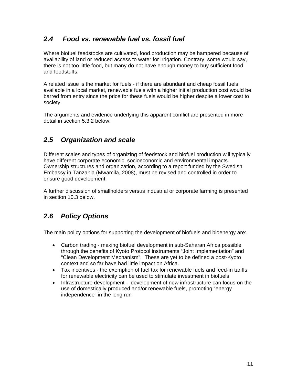### <span id="page-10-0"></span>*2.4 Food vs. renewable fuel vs. fossil fuel*

Where biofuel feedstocks are cultivated, food production may be hampered because of availability of land or reduced access to water for irrigation. Contrary, some would say, there is not too little food, but many do not have enough money to buy sufficient food and foodstuffs.

A related issue is the market for fuels - if there are abundant and cheap fossil fuels available in a local market, renewable fuels with a higher initial production cost would be barred from entry since the price for these fuels would be higher despite a lower cost to society.

The arguments and evidence underlying this apparent conflict are presented in more detail in section [5.3.2](#page-37-1) below.

## *2.5 Organization and scale*

Different scales and types of organizing of feedstock and biofuel production will typically have different corporate economic, socioeconomic and environmental impacts. Ownership structures and organization, according to a report funded by the Swedish Embassy in Tanzania (Mwamila, 2008), must be revised and controlled in order to ensure good development.

A further discussion of smallholders versus industrial or corporate farming is presented in section 10.3 below.

## *2.6 Policy Options*

The main policy options for supporting the development of biofuels and bioenergy are:

- Carbon trading making biofuel development in sub-Saharan Africa possible through the benefits of Kyoto Protocol instruments "Joint Implementation" and "Clean Development Mechanism". These are yet to be defined a post-Kyoto context and so far have had little impact on Africa.
- Tax incentives the exemption of fuel tax for renewable fuels and feed-in tariffs for renewable electricity can be used to stimulate investment in biofuels
- Infrastructure development development of new infrastructure can focus on the use of domestically produced and/or renewable fuels, promoting "energy independence" in the long run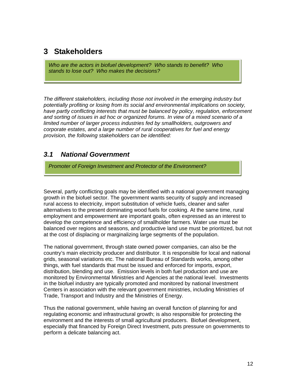## <span id="page-11-0"></span>**3 Stakeholders**

*Who are the actors in biofuel development? Who stands to benefit? Who stands to lose out? Who makes the decisions?*

*The different stakeholders, including those not involved in the emerging industry but potentially profiting or losing from its social and environmental implications on society, have partly conflicting interests that must be balanced by policy, regulation, enforcement and sorting of issues in ad hoc or organized forums. In view of a mixed scenario of a limited number of larger process industries fed by smallholders, outgrowers and corporate estates, and a large number of rural cooperatives for fuel and energy provision, the following stakeholders can be identified:* 

#### *3.1 National Government*

*Promoter of Foreign Investment and Protector of the Environment?* 

Several, partly conflicting goals may be identified with a national government managing growth in the biofuel sector. The government wants security of supply and increased rural access to electricity, import substitution of vehicle fuels, cleaner and safer alternatives to the present dominating wood fuels for cooking. At the same time, rural employment and empowerment are important goals, often expressed as an interest to develop the competence and efficiency of smallholder farmers. Water use must be balanced over regions and seasons, and productive land use must be prioritized, but not at the cost of displacing or marginalizing large segments of the population.

The national government, through state owned power companies, can also be the country's main electricity producer and distributor. It is responsible for local and national grids, seasonal variations etc. The national Bureau of Standards works, among other things, with fuel standards that must be issued and enforced for imports, export, distribution, blending and use. Emission levels in both fuel production and use are monitored by Environmental Ministries and Agencies at the national level. Investments in the biofuel industry are typically promoted and monitored by national Investment Centers in association with the relevant government ministries, including Ministries of Trade, Transport and Industry and the Ministries of Energy.

Thus the national government, while having an overall function of planning for and regulating economic and infrastructural growth; is also responsible for protecting the environment and the interests of small agricultural producers. Biofuel development, especially that financed by Foreign Direct Investment, puts pressure on governments to perform a delicate balancing act.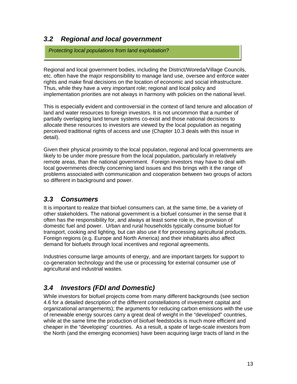### <span id="page-12-0"></span>*3.2 Regional and local government*

*Protecting local populations from land exploitation?* 

Regional and local government bodies, including the District/Woreda/Village Councils, etc. often have the major responsibility to manage land use, oversee and enforce water rights and make final decisions on the location of economic and social infrastructure. Thus, while they have a very important role; regional and local policy and implementation priorities are not always in harmony with policies on the national level.

This is especially evident and controversial in the context of land tenure and allocation of land and water resources to foreign investors. It is not uncommon that a number of partially overlapping land tenure systems co-exist and those national decisions to allocate these resources to investors are viewed by the local population as negating perceived traditional rights of access and use (Chapter [10.3](#page-63-1) deals with this issue in detail).

Given their physical proximity to the local population, regional and local governments are likely to be under more pressure from the local population, particularly in relatively remote areas, than the national government. Foreign investors may have to deal with local governments directly concerning land issues and this brings with it the range of problems associated with communication and cooperation between two groups of actors so different in background and power.

## *3.3 Consumers*

It is important to realize that biofuel consumers can, at the same time, be a variety of other stakeholders. The national government is a biofuel consumer in the sense that it often has the responsibility for, and always at least some role in, the provision of domestic fuel and power. Urban and rural households typically consume biofuel for transport, cooking and lighting, but can also use it for processing agricultural products. Foreign regions (e.g. Europe and North America) and their inhabitants also affect demand for biofuels through local incentives and regional agreements.

Industries consume large amounts of energy, and are important targets for support to co-generation technology and the use or processing for external consumer use of agricultural and industrial wastes.

## *3.4 Investors (FDI and Domestic)*

While investors for biofuel projects come from many different backgrounds (see section 4.6 for a detailed description of the different constellations of investment capital and organizational arrangements); the arguments for reducing carbon emissions with the use of renewable energy sources carry a great deal of weight in the "developed" countries, while at the same time the production of biofuel feedstocks is much more efficient and cheaper in the "developing" countries. As a result, a spate of large-scale investors from the North (and the emerging economies) have been acquiring large tracts of land in the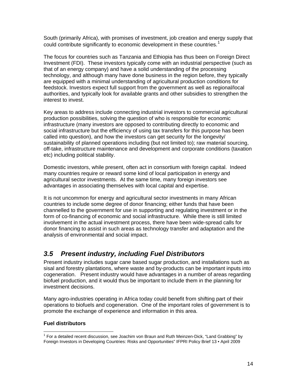<span id="page-13-0"></span>South (primarily Africa), with promises of investment, job creation and energy supply that could contribute significantly to economic development in these countries.<sup>[1](#page-13-1)</sup>

The focus for countries such as Tanzania and Ethiopia has thus been on Foreign Direct Investment (FDI). These investors typically come with an industrial perspective (such as that of an energy company) and have a solid understanding of the processing technology, and although many have done business in the region before, they typically are equipped with a minimal understanding of agricultural production conditions for feedstock. Investors expect full support from the government as well as regional/local authorities, and typically look for available grants and other subsidies to strengthen the interest to invest.

Key areas to address include connecting industrial investors to commercial agricultural production possibilities, solving the question of who is responsible for economic infrastructure (many investors are opposed to contributing directly to economic and social infrastructure but the efficiency of using tax transfers for this purpose has been called into question), and how the investors can get security for the longevity/ sustainability of planned operations including (but not limited to); raw material sourcing, off-take, infrastructure maintenance and development and corporate conditions (taxation etc) including political stability.

Domestic investors, while present, often act in consortium with foreign capital. Indeed many countries require or reward some kind of local participation in energy and agricultural sector investments. At the same time, many foreign investors see advantages in associating themselves with local capital and expertise.

It is not uncommon for energy and agricultural sector investments in many African countries to include some degree of donor financing; either funds that have been channelled to the government for use in supporting and regulating investment or in the form of co-financing of economic and social infrastructure. While there is still limited involvement in the actual investment process, there have been wide-spread calls for donor financing to assist in such areas as technology transfer and adaptation and the analysis of environmental and social impact.

## *3.5 Present industry, including Fuel Distributors*

Present industry includes sugar cane based sugar production, and installations such as sisal and forestry plantations, where waste and by-products can be important inputs into cogeneration. Present industry would have advantages in a number of areas regarding biofuel production, and it would thus be important to include them in the planning for investment decisions.

Many agro-industries operating in Africa today could benefit from shifting part of their operations to biofuels and cogeneration. One of the important roles of government is to promote the exchange of experience and information in this area.

#### **Fuel distributors**

 $\overline{a}$ 

<span id="page-13-1"></span><sup>&</sup>lt;sup>1</sup> For a detailed recent discussion, see Joachim von Braun and Ruth Meinzen-Dick, "Land Grabbing" by Foreign Investors in Developing Countries: Risks and Opportunities" IFPRI Policy Brief 13 • April 2009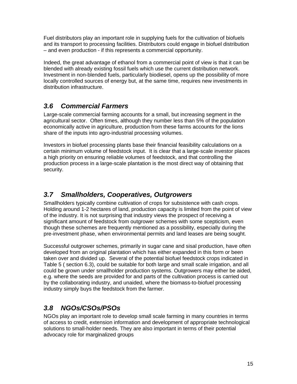<span id="page-14-0"></span>Fuel distributors play an important role in supplying fuels for the cultivation of biofuels and its transport to processing facilities. Distributors could engage in biofuel distribution – and even production - if this represents a commercial opportunity.

Indeed, the great advantage of ethanol from a commercial point of view is that it can be blended with already existing fossil fuels which use the current distribution network. Investment in non-blended fuels, particularly biodiesel, opens up the possibility of more locally controlled sources of energy but, at the same time, requires new investments in distribution infrastructure.

## *3.6 Commercial Farmers*

Large-scale commercial farming accounts for a small, but increasing segment in the agricultural sector. Often times, although they number less than 5% of the population economically active in agriculture, production from these farms accounts for the lions share of the inputs into agro-industrial processing volumes.

Investors in biofuel processing plants base their financial feasibility calculations on a certain minimum volume of feedstock input. It is clear that a large-scale investor places a high priority on ensuring reliable volumes of feedstock, and that controlling the production process in a large-scale plantation is the most direct way of obtaining that security.

## *3.7 Smallholders, Cooperatives, Outgrowers*

Smallholders typically combine cultivation of crops for subsistence with cash crops. Holding around 1-2 hectares of land, production capacity is limited from the point of view of the industry. It is not surprising that industry views the prospect of receiving a significant amount of feedstock from outgrower schemes with some scepticism, even though these schemes are frequently mentioned as a possibility, especially during the pre-investment phase, when environmental permits and land leases are being sought.

Successful outgrower schemes, primarily in sugar cane and sisal production, have often developed from an original plantation which has either expanded in this form or been taken over and divided up. Several of the potential biofuel feedstock crops indicated in Table 5 ( section 6.3), could be suitable for both large and small scale irrigation, and all could be grown under smallholder production systems. Outgrowers may either be aided, e.g. where the seeds are provided for and parts of the cultivation process is carried out by the collaborating industry, and unaided, where the biomass-to-biofuel processing industry simply buys the feedstock from the farmer.

## *3.8 NGOs/CSOs/PSOs*

NGOs play an important role to develop small scale farming in many countries in terms of access to credit, extension information and development of appropriate technological solutions to small-holder needs. They are also important in terms of their potential advocacy role for marginalized groups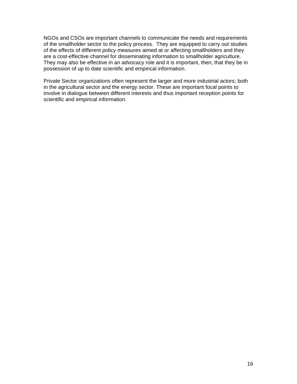NGOs and CSOs are important channels to communicate the needs and requirements of the smallholder sector to the policy process. They are equipped to carry out studies of the effects of different policy measures aimed at or affecting smallholders and they are a cost-effective channel for disseminating information to smallholder agriculture. They may also be effective in an advocacy role and it is important, then, that they be in possession of up to date scientific and empirical information.

Private Sector organizations often represent the larger and more industrial actors; both in the agricultural sector and the energy sector. These are important focal points to involve in dialogue between different interests and thus important reception points for scientific and empirical information.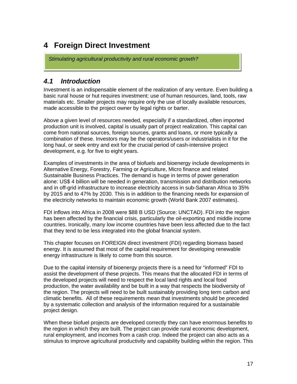## <span id="page-16-0"></span>**4 Foreign Direct Investment**

*Stimulating agricultural productivity and rural economic growth?* 

#### *4.1 Introduction*

Investment is an indispensable element of the realization of any venture. Even building a basic rural house or hut requires investment; use of human resources, land, tools, raw materials etc. Smaller projects may require only the use of locally available resources, made accessible to the project owner by legal rights or barter.

Above a given level of resources needed, especially if a standardized, often imported production unit is involved, capital is usually part of project realization. This capital can come from national sources, foreign sources, grants and loans, or more typically a combination of these. Investors may be the operators/users or industrialists in it for the long haul, or seek entry and exit for the crucial period of cash-intensive project development, e.g. for five to eight years.

Examples of investments in the area of biofuels and bioenergy include developments in Alternative Energy, Forestry, Farming or Agriculture, Micro finance and related Sustainable Business Practices. The demand is huge in terms of power generation alone: US\$ 4 billion will be needed in generation, transmission and distribution networks and in off-grid infrastructure to increase electricity access in sub-Saharan Africa to 35% by 2015 and to 47% by 2030. This is in addition to the financing needs for expansion of the electricity networks to maintain economic growth (World Bank 2007 estimates).

FDI inflows into Africa in 2008 were \$88 B USD (Source: UNCTAD). FDI into the region has been affected by the financial crisis, particularly the oil-exporting and middle income countries. Ironically, many low income countries have been less affected due to the fact that they tend to be less integrated into the global financial system.

This chapter focuses on FOREIGN direct investment (FDI) regarding biomass based energy. It is assumed that most of the capital requirement for developing renewable energy infrastructure is likely to come from this source.

Due to the capital intensity of bioenergy projects there is a need for "informed" FDI to assist the development of these projects. This means that the allocated FDI in terms of the developed projects will need to respect the local land rights and local food production, the water availability and be built in a way that respects the biodiversity of the region. The projects will need to be built sustainably providing long term carbon and climatic benefits. All of these requirements mean that investments should be preceded by a systematic collection and analysis of the information required for a sustainable project design.

When these biofuel projects are developed correctly they can have enormous benefits to the region in which they are built. The project can provide rural economic development, rural employment, and incomes from a cash crop. Indeed the project can also acts as a stimulus to improve agricultural productivity and capability building within the region. This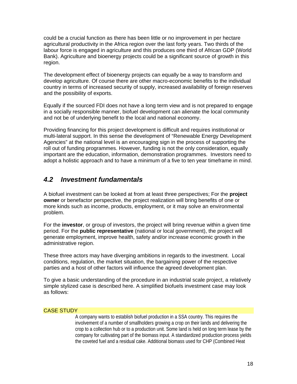<span id="page-17-0"></span>could be a crucial function as there has been little or no improvement in per hectare agricultural productivity in the Africa region over the last forty years. Two thirds of the labour force is engaged in agriculture and this produces one third of African GDP (World Bank). Agriculture and bioenergy projects could be a significant source of growth in this region.

The development effect of bioenergy projects can equally be a way to transform and develop agriculture. Of course there are other macro-economic benefits to the individual country in terms of increased security of supply, increased availability of foreign reserves and the possibility of exports.

Equally if the sourced FDI does not have a long term view and is not prepared to engage in a socially responsible manner, biofuel development can alienate the local community and not be of underlying benefit to the local and national economy.

Providing financing for this project development is difficult and requires institutional or multi-lateral support. In this sense the development of "Renewable Energy Development Agencies" at the national level is an encouraging sign in the process of supporting the roll out of funding programmes. However, funding is not the only consideration, equally important are the education, information, demonstration programmes. Investors need to adopt a holistic approach and to have a minimum of a five to ten year timeframe in mind.

#### *4.2 Investment fundamentals*

A biofuel investment can be looked at from at least three perspectives; For the **project owner** or benefactor perspective, the project realization will bring benefits of one or more kinds such as income, products, employment, or it may solve an environmental problem.

For the **investor**, or group of investors, the project will bring revenue within a given time period. For the **public representative** (national or local government), the project will generate employment, improve health, safety and/or increase economic growth in the administrative region.

These three actors may have diverging ambitions in regards to the investment. Local conditions, regulation, the market situation, the bargaining power of the respective parties and a host of other factors will influence the agreed development plan.

To give a basic understanding of the procedure in an industrial scale project, a relatively simple stylized case is described here. A simplified biofuels investment case may look as follows:

#### CASE STUDY

A company wants to establish biofuel production in a SSA country. This requires the involvement of a number of smallholders growing a crop on their lands and delivering the crop to a collection hub or to a production unit. Some land is held on long term lease by the company for cultivating part of the biomass input. A standardized production process yields the coveted fuel and a residual cake. Additional biomass used for CHP (Combined Heat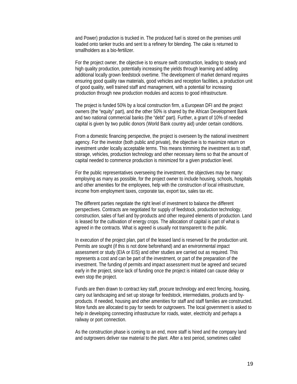and Power) production is trucked in. The produced fuel is stored on the premises until loaded onto tanker trucks and sent to a refinery for blending. The cake is returned to smallholders as a bio-fertilizer.

For the project owner, the objective is to ensure swift construction, leading to steady and high quality production, potentially increasing the yields through learning and adding additional locally grown feedstock overtime. The development of market demand requires ensuring good quality raw materials, good vehicles and reception facilities, a production unit of good quality, well trained staff and management, with a potential for increasing production through new production modules and access to good infrastructure.

The project is funded 50% by a local construction firm, a European DFI and the project owners (the "equity" part), and the other 50% is shared by the African Development Bank and two national commercial banks (the "debt" part). Further, a grant of 10% of needed capital is given by two public donors (World Bank country aid) under certain conditions.

From a domestic financing perspective, the project is overseen by the national investment agency. For the investor (both public and private), the objective is to maximize return on investment under locally acceptable terms. This means trimming the investment as to staff, storage, vehicles, production technology and other necessary items so that the amount of capital needed to commence production is minimized for a given production level.

For the public representatives overseeing the investment, the objectives may be many: employing as many as possible, for the project owner to include housing, schools, hospitals and other amenities for the employees, help with the construction of local infrastructure, income from employment taxes, corporate tax, export tax, sales tax etc.

The different parties negotiate the right level of investment to balance the different perspectives. Contracts are negotiated for supply of feedstock, production technology, construction, sales of fuel and by-products and other required elements of production. Land is leased for the cultivation of energy crops. The allocation of capital is part of what is agreed in the contracts. What is agreed is usually not transparent to the public.

In execution of the project plan, part of the leased land is reserved for the production unit. Permits are sought (if this is not done beforehand) and an environmental impact assessment or study (EIA or EIS) and other studies are carried out as required. This represents a cost and can be part of the investment, or part of the preparation of the investment. The funding of permits and impact assessment must be agreed and secured early in the project, since lack of funding once the project is initiated can cause delay or even stop the project.

Funds are then drawn to contract key staff, procure technology and erect fencing, housing, carry out landscaping and set up storage for feedstock, intermediates, products and byproducts. If needed, housing and other amenities for staff and staff families are constructed. More funds are allocated to pay for seeds for outgrowers. The local government is asked to help in developing connecting infrastructure for roads, water, electricity and perhaps a railway or port connection.

As the construction phase is coming to an end, more staff is hired and the company land and outgrowers deliver raw material to the plant. After a test period, sometimes called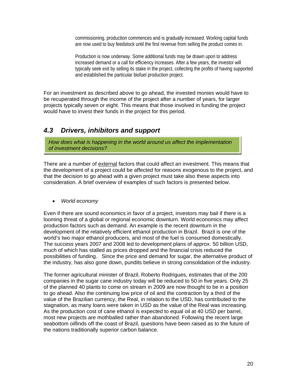<span id="page-19-0"></span>commissioning, production commences and is gradually increased. Working capital funds are now used to buy feedstock until the first revenue from selling the product comes in.

Production is now underway. Some additional funds may be drawn upon to address increased demand or a call for efficiency increases. After a few years, the investor will typically seek exit by selling its stake in the project, collecting the profits of having supported and established the particular biofuel production project.

For an investment as described above to go ahead, the invested monies would have to be recuperated through the income of the project after a number of years, for larger projects typically seven or eight. This means that those involved in funding the project would have to invest their funds in the project for this period.

#### *4.3 Drivers, inhibitors and support*

*How does what is happening in the world around us affect the implementation of investment decisions?*

There are a number of external factors that could affect an investment. This means that the development of a project could be affected for reasons exogenous to the project, and that the decision to go ahead with a given project must take also these aspects into consideration. A brief overview of examples of such factors is presented below.

• *World economy* 

Even if there are sound economics in favor of a project, investors may bail if there is a looming threat of a global or regional economic downturn. World economics may affect production factors such as demand. An example is the recent downturn in the development of the relatively efficient ethanol production in Brazil. Brazil is one of the world's two major ethanol producers, and most of the fuel is consumed domestically. The success years 2007 and 2008 led to development plans of approx. 50 billion USD, much of which has stalled as prices dropped and the financial crisis reduced the possibilities of funding. Since the price and demand for sugar, the alternative product of the industry, has also gone down, pundits believe in strong consolidation of the industry.

The former agricultural minister of Brazil, Roberto Rodrigues, estimates that of the 200 companies in the sugar cane industry today will be reduced to 50 in five years. Only 25 of the planned 40 plants to come on stream in 2009 are now thought to be in a position to go ahead. Also the continuing low price of oil and the contraction by a third of the value of the Brazilian currency, the Real, in relation to the USD, has contributed to the stagnation, as many loans were taken in USD as the value of the Real was increasing. As the production cost of cane ethanol is expected to equal oil at 40 USD per barrel, most new projects are mothballed rather than abandoned. Following the recent large seabottom oilfinds off the coast of Brazil, questions have been raised as to the future of the nations traditionally superior carbon balance.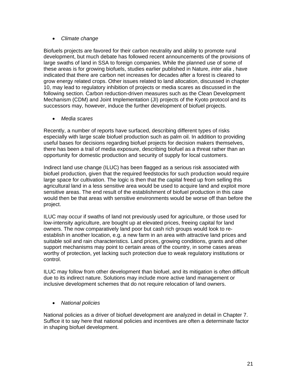#### • *Climate change*

Biofuels projects are favored for their carbon neutrality and ability to promote rural development, but much debate has followed recent announcements of the provisions of large swaths of land in SSA to foreign companies. While the planned use of some of these areas is for growing biofuels, studies earlier published in Nature, *inter alia* , have indicated that there are carbon net increases for decades after a forest is cleared to grow energy related crops. Other issues related to land allocation, discussed in chapter 10, may lead to regulatory inhibition of projects or media scares as discussed in the following section. Carbon reduction-driven measures such as the Clean Development Mechanism (CDM) and Joint Implementation (JI) projects of the Kyoto protocol and its successors may, however, induce the further development of biofuel projects.

• *Media scares* 

Recently, a number of reports have surfaced, describing different types of risks especially with large scale biofuel production such as palm oil. In addition to providing useful bases for decisions regarding biofuel projects for decision makers themselves, there has been a trail of media exposure, describing biofuel as a threat rather than an opportunity for domestic production and security of supply for local customers.

Indirect land use change (ILUC) has been flagged as a serious risk associated with biofuel production, given that the required feedstocks for such production would require large space for cultivation. The logic is then that the capital freed up from selling this agricultural land in a less sensitive area would be used to acquire land and exploit more sensitive areas. The end result of the establishment of biofuel production in this case would then be that areas with sensitive environments would be worse off than before the project.

ILUC may occur if swaths of land not previously used for agriculture, or those used for low-intensity agriculture, are bought up at elevated prices, freeing capital for land owners. The now comparatively land poor but cash rich groups would look to reestablish in another location, e.g. a new farm in an area with attractive land prices and suitable soil and rain characteristics. Land prices, growing conditions, grants and other support mechanisms may point to certain areas of the country, in some cases areas worthy of protection, yet lacking such protection due to weak regulatory institutions or control.

ILUC may follow from other development than biofuel, and its mitigation is often difficult due to its indirect nature. Solutions may include more active land management or inclusive development schemes that do not require relocation of land owners.

• *National policies* 

National policies as a driver of biofuel development are analyzed in detail in Chapter 7. Suffice it to say here that national policies and incentives are often a determinate factor in shaping biofuel development.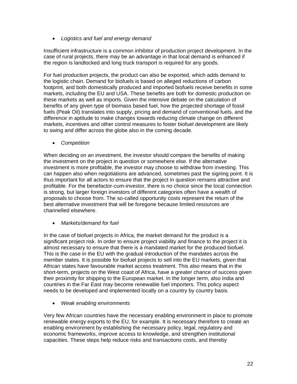• *Logistics and fuel and energy demand* 

Insufficient infrastructure is a common inhibitor of production project development. In the case of rural projects, there may be an advantage in that local demand is enhanced if the region is landlocked and long truck transport is required for any goods.

For fuel production projects, the product can also be exported, which adds demand to the logistic chain. Demand for biofuels is based on alleged reductions of carbon footprint, and both domestically produced and imported biofuels receive benefits in some markets, including the EU and USA. These benefits are both for domestic production on these markets as well as imports. Given the intensive debate on the calculation of benefits of any given type of biomass based fuel, how the projected shortage of fossil fuels (Peak Oil) translates into supply, pricing and demand of conventional fuels, and the difference in aptitude to make changes towards reducing climate change on different markets, incentives and other control measures to foster biofuel development are likely to swing and differ across the globe also in the coming decade.

• *Competition* 

When deciding on an investment, the investor should compare the benefits of making the investment on the project in question or somewhere else. If the alternative investment is more profitable, the investor may choose to withdraw from investing. This can happen also when negotiations are advanced, sometimes past the signing point. It is thus important for all actors to ensure that the project in question remains attractive and profitable. For the benefactor-cum-investor, there is no choice since the local connection is strong, but larger foreign investors of different categories often have a wealth of proposals to choose from. The so-called opportunity costs represent the return of the best alternative investment that will be foregone because limited resources are channelled elsewhere.

• *Markets/demand for fuel* 

In the case of biofuel projects in Africa, the market demand for the product is a significant project risk. In order to ensure project viability and finance to the project it is almost necessary to ensure that there is a mandated market for the produced biofuel. This is the case in the EU with the gradual introduction of the mandates across the member states. It is possible for biofuel projects to sell into the EU markets, given that African states have favourable market access treatment. This also means that in the short-term, projects on the West coast of Africa, have a greater chance of success given their proximity for shipping to the European market. In the longer term, also India and countries in the Far East may become renewable fuel importers. This policy aspect needs to be developed and implemented locally on a country by country basis.

• *Weak enabling environments* 

Very few African countries have the necessary enabling environment in place to promote renewable energy exports to the EU, for example. It is necessary therefore to create an enabling environment by establishing the necessary policy, legal, regulatory and economic frameworks, improve access to knowledge, and strengthen institutional capacities. These steps help reduce risks and transactions costs, and thereby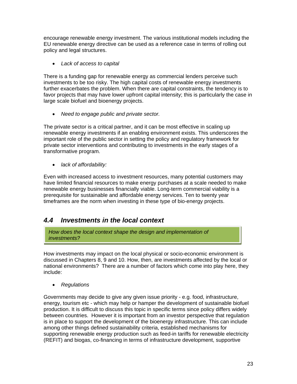<span id="page-22-0"></span>encourage renewable energy investment. The various institutional models including the EU renewable energy directive can be used as a reference case in terms of rolling out policy and legal structures.

• *Lack of access to capital* 

There is a funding gap for renewable energy as commercial lenders perceive such investments to be too risky. The high capital costs of renewable energy investments further exacerbates the problem. When there are capital constraints, the tendency is to favor projects that may have lower upfront capital intensity; this is particularly the case in large scale biofuel and bioenergy projects.

• *Need to engage public and private sector.* 

The private sector is a critical partner, and it can be most effective in scaling up renewable energy investments if an enabling environment exists. This underscores the important role of the public sector in setting the policy and regulatory framework for private sector interventions and contributing to investments in the early stages of a transformative program.

• *lack of affordability:* 

Even with increased access to investment resources, many potential customers may have limited financial resources to make energy purchases at a scale needed to make renewable energy businesses financially viable. Long-term commercial viability is a prerequisite for sustainable and affordable energy services. Ten to twenty year timeframes are the norm when investing in these type of bio-energy projects.

## *4.4 Investments in the local context*

*How does the local context shape the design and implementation of investments?*

How investments may impact on the local physical or socio-economic environment is discussed in Chapters [8](#page-54-1), [9](#page-59-1) and 10. How, then, are investments affected by the local or national environments? There are a number of factors which come into play here, they include:

• *Regulations* 

Governments may decide to give any given issue priority - e.g. food, infrastructure, energy, tourism etc - which may help or hamper the development of sustainable biofuel production. It is difficult to discuss this topic in specific terms since policy differs widely between countries. However it is important from an investor perspective that regulation is in place to support the development of the bioenergy infrastructure. This can include among other things defined sustainability criteria, established mechanisms for supporting renewable energy production such as feed-in tariffs for renewable electricity (REFIT) and biogas, co-financing in terms of infrastructure development, supportive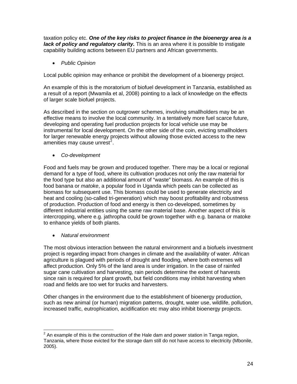taxation policy etc. *One of the key risks to project finance in the bioenergy area is a lack of policy and regulatory clarity.* This is an area where it is possible to instigate capability building actions between EU partners and African governments.

• *Public Opinion* 

Local public opinion may enhance or prohibit the development of a bioenergy project.

An example of this is the moratorium of biofuel development in Tanzania, established as a result of a report (Mwamila et al, 2008) pointing to a lack of knowledge on the effects of larger scale biofuel projects.

As described in the section on outgrower schemes, involving smallholders may be an effective means to involve the local community. In a tentatively more fuel scarce future, developing and operating fuel production projects for local vehicle use may be instrumental for local development. On the other side of the coin, evicting smallholders for larger renewable energy projects without allowing those evicted access to the new amenities may cause unrest<sup>[2](#page-23-0)</sup>.

• *Co-development* 

Food and fuels may be grown and produced together. There may be a local or regional demand for a type of food, where its cultivation produces not only the raw material for the food type but also an additional amount of "waste" biomass. An example of this is food banana or *matoke*, a popular food in Uganda which peels can be collected as biomass for subsequent use. This biomass could be used to generate electricity and heat and cooling (so-called tri-generation) which may boost profitability and robustness of production. Production of food and energy is then co-developed, sometimes by different industrial entities using the same raw material base. Another aspect of this is intercropping, where e.g. jathropha could be grown together with e.g. banana or matoke to enhance yields of both plants.

• *Natural environment* 

The most obvious interaction between the natural environment and a biofuels investment project is regarding impact from changes in climate and the availability of water. African agriculture is plagued with periods of drought and flooding, where both extremes will affect production. Only 5% of the land area is under irrigation. In the case of rainfed sugar cane cultivation and harvesting, rain periods determine the extent of harvests since rain is required for plant growth, but field conditions may inhibit harvesting when road and fields are too wet for trucks and harvesters.

Other changes in the environment due to the establishment of bioenergy production, such as new animal (or human) migration patterns, drought, water use, wildlife, pollution, increased traffic, eutrophication, acidification etc may also inhibit bioenergy projects.

<span id="page-23-0"></span>**EXALL 2**<br><sup>2</sup> An example of this is the construction of the Hale dam and power station in Tanga region, Tanzania, where those evicted for the storage dam still do not have access to electricity (Mbonile, 2005).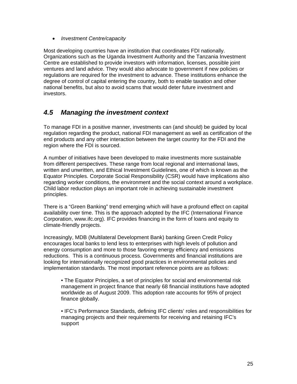<span id="page-24-0"></span>• *Investment Centre/capacity* 

Most developing countries have an institution that coordinates FDI nationally. Organizations such as the Uganda Investment Authority and the Tanzania Investment Centre are established to provide investors with information, licenses, possible joint ventures and land advice. They would also advocate to government if new policies or regulations are required for the investment to advance. These institutions enhance the degree of control of capital entering the country, both to enable taxation and other national benefits, but also to avoid scams that would deter future investment and investors.

### *4.5 Managing the investment context*

To manage FDI in a positive manner, investments can (and should) be guided by local regulation regarding the product, national FDI management as well as certification of the end products and any other interaction between the target country for the FDI and the region where the FDI is sourced.

A number of initiatives have been developed to make investments more sustainable from different perspectives. These range from local regional and international laws, written and unwritten, and Ethical Investment Guidelines, one of which is known as the Equator Principles. Corporate Social Responsibility (CSR) would have implications also regarding worker conditions, the environment and the social context around a workplace. Child labor reduction plays an important role in achieving sustainable investment principles.

There is a "Green Banking" trend emerging which will have a profound effect on capital availability over time. This is the approach adopted by the IFC (International Finance Corporation, www.ifc.org). IFC provides financing in the form of loans and equity to climate-friendly projects.

Increasingly, MDB (Multilateral Development Bank) banking Green Credit Policy encourages local banks to lend less to enterprises with high levels of pollution and energy consumption and more to those favoring energy efficiency and emissions reductions. This is a continuous process. Governments and financial institutions are looking for internationally recognized good practices in environmental policies and implementation standards. The most important reference points are as follows:

• The Equator Principles, a set of principles for social and environmental risk management in project finance that nearly 68 financial institutions have adopted worldwide as of August 2009. This adoption rate accounts for 95% of project finance globally.

• IFC's Performance Standards, defining IFC clients' roles and responsibilities for managing projects and their requirements for receiving and retaining IFC's support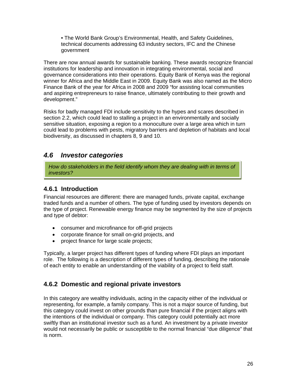<span id="page-25-0"></span>• The World Bank Group's Environmental, Health, and Safety Guidelines, technical documents addressing 63 industry sectors, IFC and the Chinese government

There are now annual awards for sustainable banking. These awards recognize financial institutions for leadership and innovation in integrating environmental, social and governance considerations into their operations. Equity Bank of Kenya was the regional winner for Africa and the Middle East in 2009. Equity Bank was also named as the Micro Finance Bank of the year for Africa in 2008 and 2009 "for assisting local communities and aspiring entrepreneurs to raise finance, ultimately contributing to their growth and development."

Risks for badly managed FDI include sensitivity to the hypes and scares described in section [2.2](#page-8-1), which could lead to stalling a project in an environmentally and socially sensitive situation, exposing a region to a monoculture over a large area which in turn could lead to problems with pests, migratory barriers and depletion of habitats and local biodiversity, as discussed in chapters [8,](#page-54-1) [9](#page-59-1) and [10.](#page-61-1)

### *4.6 Investor categories*

*How do stakeholders in the field identify whom they are dealing with in terms of investors?*

#### **4.6.1 Introduction**

Financial resources are different: there are managed funds, private capital, exchange traded funds and a number of others. The type of funding used by investors depends on the type of project. Renewable energy finance may be segmented by the size of projects and type of debtor:

- consumer and microfinance for off-grid projects
- corporate finance for small on-grid projects, and
- project finance for large scale projects;

Typically, a larger project has different types of funding where FDI plays an important role. The following is a description of different types of funding, describing the rationale of each entity to enable an understanding of the viability of a project to field staff.

#### **4.6.2 Domestic and regional private investors**

In this category are wealthy individuals, acting in the capacity either of the individual or representing, for example, a family company. This is not a major source of funding, but this category could invest on other grounds than pure financial if the project aligns with the intentions of the individual or company. This category could potentially act more swiftly than an institutional investor such as a fund. An investment by a private investor would not necessarily be public or susceptible to the normal financial "due diligence" that is norm.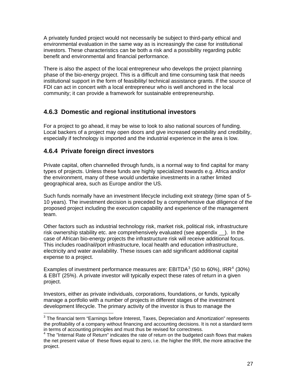<span id="page-26-0"></span>A privately funded project would not necessarily be subject to third-party ethical and environmental evaluation in the same way as is increasingly the case for institutional investors. These characteristics can be both a risk and a possibility regarding public benefit and environmental and financial performance.

There is also the aspect of the local entrepreneur who develops the project planning phase of the bio-energy project. This is a difficult and time consuming task that needs institutional support in the form of feasibility/ technical assistance grants. If the source of FDI can act in concert with a local entrepreneur who is well anchored in the local community; it can provide a framework for sustainable entrepreneurship.

#### **4.6.3 Domestic and regional institutional investors**

For a project to go ahead, it may be wise to look to also national sources of funding. Local backers of a project may open doors and give increased operability and credibility, especially if technology is imported and the industrial experience in the area is low.

#### **4.6.4 Private foreign direct investors**

Private capital, often channelled through funds, is a normal way to find capital for many types of projects. Unless these funds are highly specialized towards e.g. Africa and/or the environment, many of these would undertake investments in a rather limited geographical area, such as Europe and/or the US.

Such funds normally have an investment lifecycle including exit strategy (time span of 5- 10 years). The investment decision is preceded by a comprehensive due diligence of the proposed project including the execution capability and experience of the management team.

Other factors such as industrial technology risk, market risk, political risk, infrastructure risk ownership stability etc. are comprehensively evaluated (see appendix \_\_). In the case of African bio-energy projects the infrastructure risk will receive additional focus. This includes road/rail/port infrastructure, local health and education infrastructure, electricity and water availability. These issues can add significant additional capital expense to a project.

Examples of investment performance measures are: EBITDA $3$  (50 to 60%), IRR<sup>[4](#page-26-2)</sup> (30%) & EBIT (25%). A private investor will typically expect these rates of return in a given project.

Investors, either as private individuals, corporations, foundations, or funds, typically manage a portfolio with a number of projects in different stages of the investment development lifecycle. The primary activity of the investor is thus to manage the

<span id="page-26-1"></span> 3 The financial term "Earnings before Interest, Taxes, Depreciation and Amortization" represents the profitability of a company without financing and accounting decisions. It is not a standard term in terms of accounting principles and must thus be revised for correctness.

<span id="page-26-2"></span><sup>&</sup>lt;sup>4</sup> The "Internal Rate of Return" indicates the rate of return on the budgeted cash flows that makes the net present value of these flows equal to zero, i.e. the higher the IRR, the more attractive the project.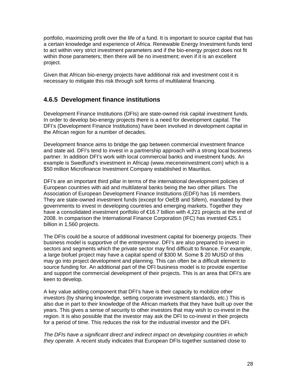<span id="page-27-0"></span>portfolio, maximizing profit over the life of a fund. It is important to source capital that has a certain knowledge and experience of Africa. Renewable Energy Investment funds tend to act within very strict investment parameters and if the bio-energy project does not fit within those parameters; then there will be no investment; even if it is an excellent project.

Given that African bio-energy projects have additional risk and investment cost it is necessary to mitigate this risk through soft forms of multilateral financing.

#### **4.6.5 Development finance institutions**

Development Finance Institutions (DFIs) are state-owned risk capital investment funds. In order to develop bio-energy projects there is a need for development capital. The DFI's (Development Finance Institutions) have been involved in development capital in the African region for a number of decades.

Development finance aims to bridge the gap between commercial investment finance and state aid. DFI's tend to invest in a partnership approach with a strong local business partner. In addition DFI's work with local commercial banks and investment funds. An example is Swedfund's investment in Africap (www.meceneinvestment.com) which is a \$50 million Microfinance Investment Company established in Mauritius.

DFI's are an important third pillar in terms of the international development policies of European countries with aid and multilateral banks being the two other pillars. The Association of European Development Finance Institutions (EDFI) has 16 members. They are state-owned investment funds (except for OeEB and Sifem), mandated by their governments to invest in developing countries and emerging markets. Together they have a consolidated investment portfolio of €16.7 billion with 4,221 projects at the end of 2008. In comparison the International Finance Corporation (IFC) has invested €25.1 billion in 1,560 projects.

The DFIs could be a source of additional investment capital for bioenergy projects. Their business model is supportive of the entrepreneur. DFI's are also prepared to invest in sectors and segments which the private sector may find difficult to finance. For example, a large biofuel project may have a capital spend of \$300 M. Some \$ 20 MUSD of this may go into project development and planning. This can often be a difficult element to source funding for. An additional part of the DFI business model is to provide expertise and support the commercial development of their projects. This is an area that DFI's are keen to develop.

A key value adding component that DFI's have is their capacity to mobilize other investors (by sharing knowledge, setting corporate investment standards, etc.) This is also due in part to their knowledge of the African markets that they have built up over the years. This gives a sense of security to other investors that may wish to co-invest in the region. It is also possible that the investor may ask the DFI to co-invest in their projects for a period of time. This reduces the risk for the industrial investor and the DFI.

*The DFIs have a significant direct and indirect impact on developing countries in which they operate.* A recent study indicates that European DFIs together sustained close to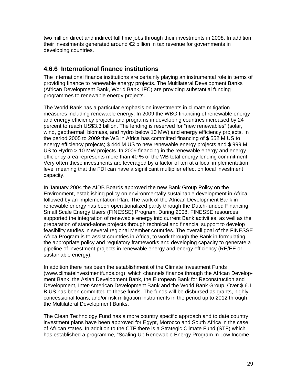<span id="page-28-0"></span>two million direct and indirect full time jobs through their investments in 2008. In addition, their investments generated around €2 billion in tax revenue for governments in developing countries.

#### **4.6.6 International finance institutions**

The International finance institutions are certainly playing an instrumental role in terms of providing finance to renewable energy projects. The Multilateral Development Banks (African Development Bank, World Bank, IFC) are providing substantial funding programmes to renewable energy projects.

The World Bank has a particular emphasis on investments in climate mitigation measures including renewable energy. In 2009 the WBG financing of renewable energy and energy efficiency projects and programs in developing countries increased by 24 percent to reach US\$3.3 billion. The lending is reserved for "new renewables" (solar, wind, geothermal, biomass, and hydro below 10 MW) and energy efficiency projects. In the period 2005 to 2009 the WB in Africa has committed financing of \$ 552 M US to energy efficiency projects; \$ 444 M US to new renewable energy projects and \$ 999 M US to Hydro > 10 MW projects. In 2009 financing in the renewable energy and energy efficiency area represents more than 40 % of the WB total energy lending commitment. Very often these investments are leveraged by a factor of ten at a local implementation level meaning that the FDI can have a significant multiplier effect on local investment capacity.

In January 2004 the AfDB Boards approved the new Bank Group Policy on the Environment, establishing policy on environmentally sustainable development in Africa, followed by an Implementation Plan. The work of the African Development Bank in renewable energy has been operationalized partly through the Dutch-funded Financing Small Scale Energy Users (FINESSE) Program. During 2008, FINESSE resources supported the integration of renewable energy into current Bank activities, as well as the preparation of stand-alone projects through technical and financial support to develop feasibility studies in several regional Member countries. The overall goal of the FINESSE Africa Program is to assist countries in Africa, to work through the Bank in formulating the appropriate policy and regulatory frameworks and developing capacity to generate a pipeline of investment projects in renewable energy and energy efficiency (RE/EE or sustainable energy).

In addition there has been the establishment of the Climate Investment Funds (www.climateinvestmentfunds.org) which channels finance through the African Development Bank, the Asian Development Bank, the European Bank for Reconstruction and Development, Inter-American Development Bank and the World Bank Group. Over \$ 6.1 B US has been committed to these funds. The funds will be disbursed as grants, highly concessional loans, and/or risk mitigation instruments in the period up to 2012 through the Multilateral Development Banks.

The Clean Technology Fund has a more country specific approach and to date country investment plans have been approved for Egypt, Morocco and South Africa in the case of African states. In addition to the CTF there is a Strategic Climate Fund (STF) which has established a programme, "Scaling Up Renewable Energy Program In Low Income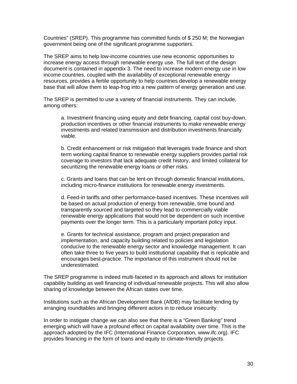Countries" (SREP). This programme has committed funds of \$ 250 M; the Norwegian government being one of the significant programme supporters.

The SREP aims to help low-income countries use new economic opportunities to increase energy access through renewable energy use. The full text of the design document is contained in appendix 3. The need to increase modern energy use in low income countries, coupled with the availability of exceptional renewable energy resources, provides a fertile opportunity to help countries develop a renewable energy base that will allow them to leap-frog into a new pattern of energy generation and use.

The SREP is permitted to use a variety of financial instruments. They can include, among others:

a. Investment financing using equity and debt financing, capital cost buy-down, production incentives or other financial instruments to make renewable energy investments and related transmission and distribution investments financially viable.

b. Credit enhancement or risk mitigation that leverages trade finance and short term working capital finance to renewable energy suppliers provides partial risk coverage to investors that lack adequate credit history, and limited collateral for securitizing the renewable energy loans or other risks.

c. Grants and loans that can be lent-on through domestic financial institutions, including micro-finance institutions for renewable energy investments.

d. Feed-in tariffs and other performance-based incentives. These incentives will be based on actual production of energy from renewable, time bound and transparently sourced and targeted so they lead to commercially viable renewable energy applications that would not be dependent on such incentive payments over the longer term. This is a particularly important policy input.

e. Grants for technical assistance, program and project preparation and implementation, and capacity building related to policies and legislation conducive to the renewable energy sector and knowledge management. It can often take three to five years to build institutional capability that is replicable and encourages best-practice. The importance of this instrument should not be underestimated.

The SREP programme is indeed multi-faceted in its approach and allows for institution capability building as well financing of individual renewable projects. This will also allow sharing of knowledge between the African states over time.

Institutions such as the African Development Bank (AfDB) may facilitate lending by arranging roundtables and bringing different actors in to reduce insecurity.

In order to instigate change we can also see that there is a "Green Banking" trend emerging which will have a profound effect on capital availability over time. This is the approach adopted by the IFC (International Finance Corporation, www.ifc.org). IFC provides financing in the form of loans and equity to climate-friendly projects.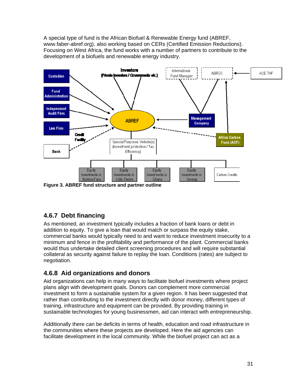<span id="page-30-0"></span>A special type of fund is the African Biofuel & Renewable Energy fund (ABREF, www.faber-abref.org), also working based on CERs (Certified Emission Reductions). Focusing on West Africa, the fund works with a number of partners to contribute to the development of a biofuels and renewable energy industry.



**Figure 3. ABREF fund structure and partner outline** 

### **4.6.7 Debt financing**

As mentioned, an investment typically includes a fraction of bank loans or debt in addition to equity. To give a loan that would match or surpass the equity stake, commercial banks would typically need to and want to reduce investment insecurity to a minimum and fence in the profitability and performance of the plant. Commercial banks would thus undertake detailed client screening procedures and will require substantial collateral as security against failure to replay the loan. Conditions (rates) are subject to negotiation.

#### **4.6.8 Aid organizations and donors**

Aid organizations can help in many ways to facilitate biofuel investments where project plans align with development goals. Donors can complement more commercial investment to form a sustainable system for a given region. It has been suggested that rather than contributing to the investment directly with donor money, different types of training, infrastructure and equipment can be provided. By providing training in sustainable technologies for young businessmen, aid can interact with entrepreneurship.

Additionally there can be deficits in terms of health, education and road infrastructure in the communities where these projects are developed. Here the aid agencies can facilitate development in the local community. While the biofuel project can act as a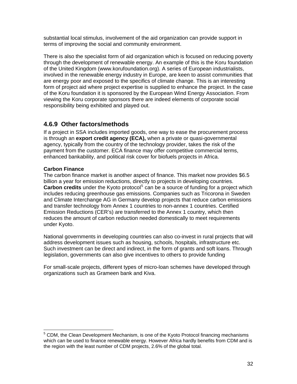<span id="page-31-0"></span>substantial local stimulus, involvement of the aid organization can provide support in terms of improving the social and community environment.

There is also the specialist form of aid organization which is focused on reducing poverty through the development of renewable energy. An example of this is the Koru foundation of the United Kingdom (www.korufoundation.org). A series of European industrialists, involved in the renewable energy industry in Europe, are keen to assist communities that are energy poor and exposed to the specifics of climate change. This is an interesting form of project aid where project expertise is supplied to enhance the project. In the case of the Koru foundation it is sponsored by the European Wind Energy Association. From viewing the Koru corporate sponsors there are indeed elements of corporate social responsibility being exhibited and played out.

#### **4.6.9 Other factors/methods**

If a project in SSA includes imported goods, one way to ease the procurement process is through an **export credit agency (ECA),** when a private or quasi-governmental agency, typically from the country of the technology provider, takes the risk of the payment from the customer. ECA finance may offer competitive commercial terms, enhanced bankability, and political risk cover for biofuels projects in Africa.

#### **Carbon Finance**

The carbon finance market is another aspect of finance. This market now provides \$6.5 billion a year for emission reductions, directly to projects in developing countries. Carbon credits under the Kyoto protocol<sup>[5](#page-31-1)</sup> can be a source of funding for a project which includes reducing greenhouse gas emissions. Companies such as Tricorona in Sweden and Climate Interchange AG in Germany develop projects that reduce carbon emissions and transfer technology from Annex 1 countries to non-annex 1 countries. Certified Emission Reductions (CER's) are transferred to the Annex 1 country, which then reduces the amount of carbon reduction needed domestically to meet requirements under Kyoto.

National governments in developing countries can also co-invest in rural projects that will address development issues such as housing, schools, hospitals, infrastructure etc. Such investment can be direct and indirect, in the form of grants and soft loans. Through legislation, governments can also give incentives to others to provide funding

For small-scale projects, different types of micro-loan schemes have developed through organizations such as Grameen bank and Kiva.

<span id="page-31-1"></span> 5 CDM, the Clean Development Mechanism, is one of the Kyoto Protocol financing mechanisms which can be used to finance renewable energy. However Africa hardly benefits from CDM and is the region with the least number of CDM projects, 2.6% of the global total.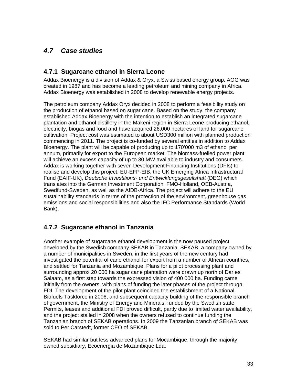## <span id="page-32-0"></span>*4.7 Case studies*

#### **4.7.1 Sugarcane ethanol in Sierra Leone**

Addax Bioenergy is a division of Addax & Oryx, a Swiss based energy group. AOG was created in 1987 and has become a leading petroleum and mining company in Africa. Addax Bioenergy was established in 2008 to develop renewable energy projects.

The petroleum company Addax Oryx decided in 2008 to perform a feasibility study on the production of ethanol based on sugar cane. Based on the study, the company established Addax Bioenergy with the intention to establish an integrated sugarcane plantation and ethanol distillery in the Makeni region in Sierra Leone producing ethanol, electricity, biogas and food and have acquired 26,000 hectares of land for sugarcane cultivation. Project cost was estimated to about USD300 million with planned production commencing in 2011. The project is co-funded by several entities in addition to Addax Bioenergy. The plant will be capable of producing up to 170'000 m3 of ethanol per annum, primarily for export to the European market. The biomass-fuelled power plant will achieve an excess capacity of up to 30 MW available to industry and consumers. Addax is working together with seven Development Financing Institutions (DFIs) to realise and develop this project: EU-EFP-EIB, the UK Emerging Africa Infrastructural Fund (EAIF-UK), *Deutsche Investitions- und Entwicklungsgesellshaft* (DEG) which translates into the German Investment Corporation, FMO-Holland, OEB-Austria, Swedfund-Sweden, as well as the AfDB-Africa. The project will adhere to the EU sustainability standards in terms of the protection of the environment, greenhouse gas emissions and social responsibilities and also the IFC Performance Standards (World Bank).

#### **4.7.2 Sugarcane ethanol in Tanzania**

Another example of sugarcane ethanol development is the now paused project developed by the Swedish company SEKAB in Tanzania. SEKAB, a company owned by a number of municipalities in Sweden, in the first years of the new century had investigated the potential of cane ethanol for export from a number of African countries, and settled for Tanzania and Mozambique. Plans for a pilot processing plant and surrounding approx 20 000 ha sugar cane plantation were drawn up north of Dar es Salaam, as a first step towards the expressed vision of 400 000 ha. Funding came initially from the owners, with plans of funding the later phases of the project through FDI. The development of the pilot plant coincided the establishment of a National Biofuels Taskforce in 2006, and subsequent capacity building of the responsible branch of government, the Ministry of Energy and Minerals, funded by the Swedish state. Permits, leases and additional FDI proved difficult, partly due to limited water availability, and the project stalled in 2008 when the owners refused to continue funding the Tanzanian branch of SEKAB operations. In 2009 the Tanzanian branch of SEKAB was sold to Per Carstedt, former CEO of SEKAB.

SEKAB had similar but less advanced plans for Mocambique, through the majority owned subsidiary, Ecoenergia de Mozambique Lda.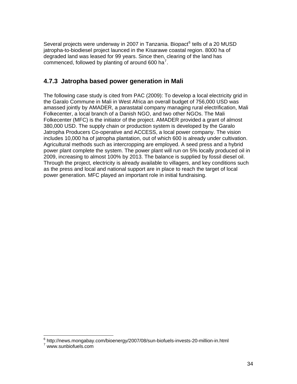<span id="page-33-0"></span>Several projects were underway in 2007 in Tanzania. Biopact<sup>[6](#page-33-1)</sup> tells of a 20 MUSD jatropha-to-biodiesel project launced in the Kisarawe coastal region. 8000 ha of degraded land was leased for 99 years. Since then, clearing of the land has commenced, followed by planting of around 600 ha<sup>[7](#page-33-2)</sup>.

#### **4.7.3 Jatropha based power generation in Mali**

The following case study is cited from PAC (2009): To develop a local electricity grid in the Garalo Commune in Mali in West Africa an overall budget of 756,000 USD was amassed jointly by AMADER, a parastatal company managing rural electrification, Mali Folkecenter, a local branch of a Danish NGO, and two other NGOs. The Mali Folkecenter (MFC) is the initiator of the project. AMADER provided a grant of almost 380,000 USD. The supply chain or production system is developed by the Garalo Jatropha Producers Co-operative and ACCESS, a local power company. The vision includes 10,000 ha of jatropha plantation, out of which 600 is already under cultivation. Agricultural methods such as intercropping are employed. A seed press and a hybrid power plant complete the system. The power plant will run on 5% locally produced oil in 2009, increasing to almost 100% by 2013. The balance is supplied by fossil diesel oil. Through the project, electricity is already available to villagers, and key conditions such as the press and local and national support are in place to reach the target of local power generation. MFC played an important role in initial fundraising.

<sup>6&</sup>lt;br>6 http://news.mongabay.com/bioenergy/2007/08/sun-biofuels-invests-20-million-in.html

<span id="page-33-2"></span><span id="page-33-1"></span>www.sunbiofuels.com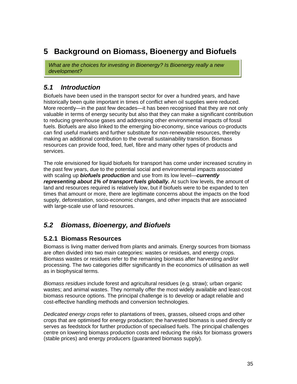## <span id="page-34-0"></span>**5 Background on Biomass, Bioenergy and Biofuels**

*What are the choices for investing in Bioenergy? Is Bioenergy really a new development?*

### *5.1 Introduction*

Biofuels have been used in the transport sector for over a hundred years, and have historically been quite important in times of conflict when oil supplies were reduced. More recently—in the past few decades—it has been recognised that they are not only valuable in terms of energy security but also that they can make a significant contribution to reducing greenhouse gases and addressing other environmental impacts of fossil fuels. Biofuels are also linked to the emerging bio-economy, since various co-products can find useful markets and further substitute for non-renewable resources, thereby making an additional contribution to the overall sustainability transition. Biomass resources can provide food, feed, fuel, fibre and many other types of products and services.

The role envisioned for liquid biofuels for transport has come under increased scrutiny in the past few years, due to the potential social and environmental impacts associated with scaling up *biofuels production* and use from its low level—*currently representing about 1% of transport fuels globally.* At such low levels, the amount of land and resources required is relatively low, but if biofuels were to be expanded to ten times that amount or more, there are legitimate concerns about the impacts on the food supply, deforestation, socio-economic changes, and other impacts that are associated with large-scale use of land resources.

## *5.2 Biomass, Bioenergy, and Biofuels*

#### **5.2.1 Biomass Resources**

Biomass is living matter derived from plants and animals. Energy sources from biomass are often divided into two main categories: wastes or residues, and energy crops. Biomass wastes or residues refer to the remaining biomass after harvesting and/or processing. The two categories differ significantly in the economics of utilisation as well as in biophysical terms.

*Biomass residues* include forest and agricultural residues (e.g. straw); urban organic wastes; and animal wastes. They normally offer the most widely available and least-cost biomass resource options. The principal challenge is to develop or adapt reliable and cost-effective handling methods and conversion technologies.

*Dedicated energy crops* refer to plantations of trees, grasses, oilseed crops and other crops that are optimised for energy production; the harvested biomass is used directly or serves as feedstock for further production of specialised fuels. The principal challenges centre on lowering biomass production costs and reducing the risks for biomass growers (stable prices) and energy producers (guaranteed biomass supply).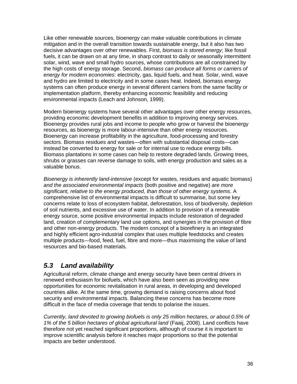<span id="page-35-0"></span>Like other renewable sources, bioenergy can make valuable contributions in climate mitigation and in the overall transition towards sustainable energy, but it also has two decisive advantages over other renewables. First, *biomass is stored energy*; like fossil fuels, it can be drawn on at any time, in sharp contrast to daily or seasonally intermittent solar, wind, wave and small hydro sources, whose contributions are all constrained by the high costs of energy storage. Second, *biomass can produce all forms or carriers of energy for modern economies*: electricity, gas, liquid fuels, and heat. Solar, wind, wave and hydro are limited to electricity and in some cases heat. Indeed, biomass energy systems can often produce energy in several different carriers from the same facility or implementation platform, thereby enhancing economic feasibility and reducing environmental impacts (Leach and Johnson, 1999).

Modern bioenergy systems have several other advantages over other energy resources, providing economic development benefits in addition to improving energy services. Bioenergy provides rural jobs and income to people who grow or harvest the bioenergy resources, as bioenergy is more labour-intensive than other energy resources. Bioenergy can increase profitability in the agriculture, food-processing and forestry sectors. Biomass residues and wastes—often with substantial disposal costs—can instead be converted to energy for sale or for internal use to reduce energy bills. Biomass plantations in some cases can help to restore degraded lands. Growing trees, shrubs or grasses can reverse damage to soils, with energy production and sales as a valuable bonus.

*Bioenergy is inherently land-intensive* (except for wastes, residues and aquatic biomass) *and the associated environmental impacts* (both positive and negative) *are more significant, relative to the energy produced, than those of other energy systems*. A comprehensive list of environmental impacts is difficult to summarise, but some key concerns relate to loss of ecosystem habitat, deforestation, loss of biodiversity, depletion of soil nutrients, and excessive use of water. In addition to provision of a renewable energy source, some positive environmental impacts include restoration of degraded land, creation of complementary land use options, and synergies in the provision of fibre and other non-energy products. The modern concept of a biorefinery is an integrated and highly efficient agro-industrial complex that uses multiple feedstocks and creates multiple products—food, feed, fuel, fibre and more—thus maximising the value of land resources and bio-based materials.

## *5.3 Land availability*

Agricultural reform, climate change and energy security have been central drivers in renewed enthusiasm for biofuels, which have also been seen as providing new opportunities for economic revitalisation in rural areas, in developing and developed countries alike. At the same time, growing demand is raising concerns about food security and environmental impacts. Balancing these concerns has become more difficult in the face of media coverage that tends to polarise the issues.

*Currently, land devoted to growing biofuels is only 25 million hectares, or about 0.5% of 1% of the 5 billion hectares of global agricultural land* (Faaij, 2008). Land conflicts have therefore not yet reached significant proportions, although of course it is important to improve scientific analysis before it reaches major proportions so that the potential impacts are better understood.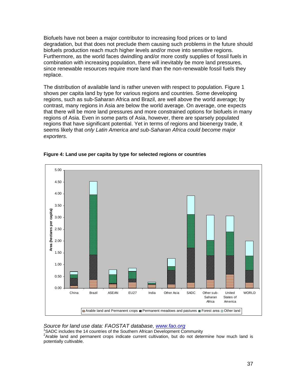Biofuels have not been a major contributor to increasing food prices or to land degradation, but that does not preclude them causing such problems in the future should biofuels production reach much higher levels and/or move into sensitive regions. Furthermore, as the world faces dwindling and/or more costly supplies of fossil fuels in combination with increasing population, there will inevitably be more land pressures, since renewable resources require more land than the non-renewable fossil fuels they replace.

The distribution of available land is rather uneven with respect to population. Figure 1 shows per capita land by type for various regions and countries. Some developing regions, such as sub-Saharan Africa and Brazil, are well above the world average; by contrast, many regions in Asia are below the world average. On average, one expects that there will be more land pressures and more constrained options for biofuels in many regions of Asia. Even in some parts of Asia, however, there are sparsely populated regions that have significant potential. Yet in terms of regions and bioenergy trade, it seems likely that *only Latin America and sub-Saharan Africa could become major exporters.* 



#### **Figure 4: Land use per capita by type for selected regions or countries**

*Source for land use data: FAOSTAT database, [www.fao.org](http://www.fao.org/)* <sup>1</sup>

<sup>1</sup>SADC includes the 14 countries of the Southern African Development Community

 $2A$ rable land and permanent crops indicate current cultivation, but do not determine how much land is potentially cultivable.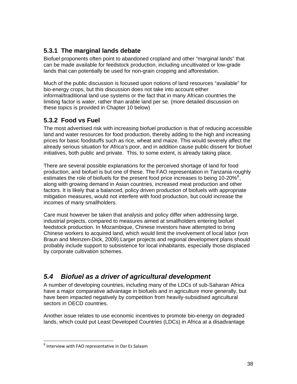### **5.3.1 The marginal lands debate**

Biofuel proponents often point to abandoned cropland and other "marginal lands" that can be made available for feedstock production, including uncultivated or low-grade lands that can potentially be used for non-grain cropping and afforestation.

Much of the public discussion is focused upon notions of land resources "available" for bio-energy crops, but this discussion does not take into account either informal/traditional land use systems or the fact that in many African countries the limiting factor is water, rather than arable land per se. (more detailed discussion on these topics is provided in Chapter 10 below)

#### **5.3.2 Food vs Fuel**

The most advertised risk with increasing biofuel production is that of reducing accessible land and water resources for food production, thereby adding to the high and increasing prices for basic foodstuffs such as rice, wheat and maize. This would severely affect the already serious situation for Africa's poor, and in addition cause public dissent for biofuel initiatives, both public and private. This, to some extent, is already taking place.

There are several possible explanations for the perceived shortage of land for food production, and biofuel is but one of these. The FAO representation in Tanzania roughly estimates the role of biofuels for the present food price increases to being 10-20% $^{8}$  $^{8}$  $^{8}$ , along with growing demand in Asian countries, increased meat production and other factors. It is likely that a balanced, policy driven production of biofuels with appropriate mitigation measures, would not interfere with food production, but could increase the incomes of many smallholders.

Care must however be taken that analysis and policy differ when addressing large, industrial projects, compared to measures aimed at smallholders entering biofuel feedstock production. In Mozambique, Chinese investors have attempted to bring Chinese workers to acquired land, which would limit the involvement of local labor (von Braun and Meinzen-Dick, 2009).Larger projects and regional development plans should probably include support to subsistence for local inhabitants, especially those displaced by corporate cultivation schemes.

# *5.4 Biofuel as a driver of agricultural development*

A number of developing countries, including many of the LDCs of sub-Saharan Africa have a major comparative advantage in biofuels and in agriculture more generally, but have been impacted negatively by competition from heavily-subsidised agricultural sectors in OECD countries.

Another issue relates to use economic incentives to promote bio-energy on degraded lands, which could put Least Developed Countries (LDCs) in Africa at a disadvantage

<span id="page-37-0"></span><sup>8</sup> Interview with FAO representative in Dar Es Salaam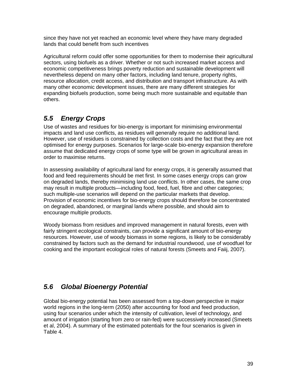since they have not yet reached an economic level where they have many degraded lands that could benefit from such incentives

Agricultural reform could offer some opportunities for them to modernise their agricultural sectors, using biofuels as a driver. Whether or not such increased market access and economic competitiveness brings poverty reduction and sustainable development will nevertheless depend on many other factors, including land tenure, property rights, resource allocation, credit access, and distribution and transport infrastructure. As with many other economic development issues, there are many different strategies for expanding biofuels production, some being much more sustainable and equitable than others.

# *5.5 Energy Crops*

Use of wastes and residues for bio-energy is important for minimising environmental impacts and land use conflicts, as residues will generally require no additional land. However, use of residues is constrained by collection costs and the fact that they are not optimised for energy purposes. Scenarios for large-scale bio-energy expansion therefore assume that dedicated energy crops of some type will be grown in agricultural areas in order to maximise returns.

In assessing availability of agricultural land for energy crops, it is generally assumed that food and feed requirements should be met first. In some cases energy crops can grow on degraded lands, thereby minimising land use conflicts. In other cases, the same crop may result in multiple products—including food, feed, fuel, fibre and other categories; such multiple-use scenarios will depend on the particular markets that develop. Provision of economic incentives for bio-energy crops should therefore be concentrated on degraded, abandoned, or marginal lands where possible, and should aim to encourage multiple products.

Woody biomass from residues and improved management in natural forests, even with fairly stringent ecological constraints, can provide a significant amount of bio-energy resources. However, use of woody biomass in some regions, is likely to be considerably constrained by factors such as the demand for industrial roundwood, use of woodfuel for cooking and the important ecological roles of natural forests (Smeets and Faiij, 2007).

# *5.6 Global Bioenergy Potential*

Global bio-energy potential has been assessed from a top-down perspective in major world regions in the long-term (2050) after accounting for food and feed production, using four scenarios under which the intensity of cultivation, level of technology, and amount of irrigation (starting from zero or rain-fed) were successively increased (Smeets et al, 2004). A summary of the estimated potentials for the four scenarios is given in [Table 4.](#page-39-0)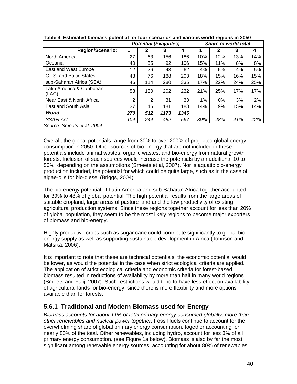<span id="page-39-0"></span>

|                                    |     | <b>Potential (Exajoules)</b> |      |      | Share of world total |     |     |     |
|------------------------------------|-----|------------------------------|------|------|----------------------|-----|-----|-----|
| <b>Region/Scenario:</b>            |     | 2                            | 3    | 4    |                      | 2   | 3   | 4   |
| North America                      | 27  | 63                           | 156  | 186  | 10%                  | 12% | 13% | 14% |
| Oceania                            | 40  | 55                           | 92   | 106  | 15%                  | 11% | 8%  | 8%  |
| East and West Europe               | 12  | 26                           | 43   | 62   | 4%                   | 5%  | 4%  | 5%  |
| C.I.S. and Baltic States           | 48  | 76                           | 188  | 203  | 18%                  | 15% | 16% | 15% |
| sub-Saharan Africa (SSA)           | 46  | 114                          | 280  | 335  | 17%                  | 22% | 24% | 25% |
| Latin America & Caribbean<br>(LAC) | 58  | 130                          | 202  | 232  | 21%                  | 25% | 17% | 17% |
| Near East & North Africa           | 2   | 2                            | 31   | 33   | 1%                   | 0%  | 3%  | 2%  |
| East and South Asia                | 37  | 46                           | 181  | 188  | 14%                  | 9%  | 15% | 14% |
| World                              | 270 | 512                          | 1173 | 1345 |                      |     |     |     |
| SSA+LAC                            | 104 | 244                          | 482  | 567  | 39%                  | 48% | 41% | 42% |

#### **Table 4. Estimated biomass potential for four scenarios and various world regions in 2050**

*Source: Smeets et al, 2004* 

Overall, the global potentials range from 30% to over 200% of projected global energy consumption in 2050. Other sources of bio-energy that are not included in these potentials include animal wastes, organic wastes, and bio-energy from natural growth forests. Inclusion of such sources would increase the potentials by an additional 10 to 50%, depending on the assumptions (Smeets et al, 2007). Nor is aquatic bio-energy production included, the potential for which could be quite large, such as in the case of algae-oils for bio-diesel (Briggs, 2004).

The bio-energy potential of Latin America and sub-Saharan Africa together accounted for 39% to 48% of global potential. The high potential results from the large areas of suitable cropland, large areas of pasture land and the low productivity of existing agricultural production systems. Since these regions together account for less than 20% of global population, they seem to be the most likely regions to become major exporters of biomass and bio-energy.

Highly productive crops such as sugar cane could contribute significantly to global bioenergy supply as well as supporting sustainable development in Africa (Johnson and Matsika, 2006).

It is important to note that these are technical potentials; the economic potential would be lower, as would the potential in the case when strict ecological criteria are applied. The application of strict ecological criteria and economic criteria for forest-based biomass resulted in reductions of availability by more than half in many world regions (Smeets and Faiij, 2007). Such restrictions would tend to have less effect on availability of agricultural lands for bio-energy, since there is more flexibility and more options available than for forests.

#### **5.6.1 Traditional and Modern Biomass used for Energy**

*Biomass accounts for about 11% of total primary energy consumed globally, more than other renewables and nuclear power together.* Fossil fuels continue to account for the overwhelming share of global primary energy consumption, together accounting for nearly 80% of the total. Other renewables, including hydro, account for less 3% of all primary energy consumption. (see Figure 1a below). Biomass is also by far the most significant among renewable energy sources, accounting for about 80% of renewables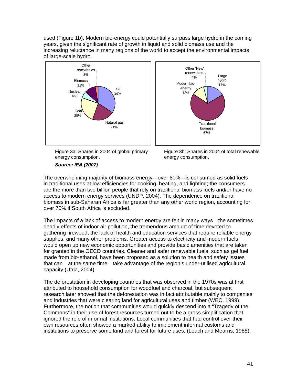used (Figure 1b). Modern bio-energy could potentially surpass large hydro in the coming years, given the significant rate of growth in liquid and solid biomass use and the increasing reluctance in many regions of the world to accept the environmental impacts of large-scale hydro.





Figure 3a: Shares in 2004 of global primary energy consumption.

#### *Source: IEA (2007)*

Figure 3b: Shares in 2004 of total renewable energy consumption.

The overwhelming majority of biomass energy—over 80%—is consumed as solid fuels in traditional uses at low efficiencies for cooking, heating, and lighting; the consumers are the more than two billion people that rely on traditional biomass fuels and/or have no access to modern energy services (UNDP, 2004). The dependence on traditional biomass in sub-Saharan Africa is far greater than any other world region, accounting for over 70% if South Africa is excluded.

The impacts of a lack of access to modern energy are felt in many ways—the sometimes deadly effects of indoor air pollution, the tremendous amount of time devoted to gathering firewood, the lack of health and education services that require reliable energy supplies, and many other problems. Greater access to electricity and modern fuels would open up new economic opportunities and provide basic amenities that are taken for granted in the OECD countries. Cleaner and safer renewable fuels, such as gel fuel made from bio-ethanol, have been proposed as a solution to health and safety issues that can—at the same time—take advantage of the region's under-utilised agricultural capacity (Utria, 2004).

The deforestation in developing countries that was observed in the 1970s was at first attributed to household consumption for woodfuel and charcoal, but subsequent research later showed that the deforestation was in fact attributable mainly to companies and industries that were clearing land for agricultural uses and timber (WEC, 1999). Furthermore, the notion that communities would quickly descend into a "Tragedy of the Commons" in their use of forest resources turned out to be a gross simplification that ignored the role of informal institutions. Local communities that had control over their own resources often showed a marked ability to implement informal customs and institutions to preserve some land and forest for future uses, (Leach and Mearns, 1988).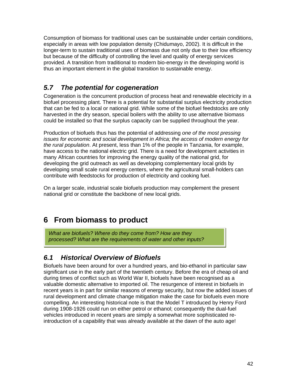Consumption of biomass for traditional uses can be sustainable under certain conditions, especially in areas with low population density (Chidumayo, 2002). It is difficult in the longer-term to sustain traditional uses of biomass due not only due to their low efficiency but because of the difficulty of controlling the level and quality of energy services provided. A transition from traditional to modern bio-energy in the developing world is thus an important element in the global transition to sustainable energy.

# *5.7 The potential for cogeneration*

Cogeneration is the concurrent production of process heat and renewable electricity in a biofuel processing plant. There is a potential for substantial surplus electricity production that can be fed to a local or national grid. While some of the biofuel feedstocks are only harvested in the dry season, special boilers with the ability to use alternative biomass could be installed so that the surplus capacity can be supplied throughout the year.

Production of biofuels thus has the potential of addressing *one of the most pressing issues for economic and social development in Africa; the access of modern energy for the rural population*. At present, less than 1% of the people in Tanzania, for example, have access to the national electric grid. There is a need for development activities in many African countries for improving the energy quality of the national grid, for developing the grid outreach as well as developing complementary local grids by developing small scale rural energy centers, where the agricultural small-holders can contribute with feedstocks for production of electricity and cooking fuel.

On a larger scale, industrial scale biofuels production may complement the present national grid or constitute the backbone of new local grids.

# **6 From biomass to product**

*What are biofuels? Where do they come from? How are they processed? What are the requirements of water and other inputs?* 

# *6.1 Historical Overview of Biofuels*

Biofuels have been around for over a hundred years, and bio-ethanol in particular saw significant use in the early part of the twentieth century. Before the era of cheap oil and during times of conflict such as World War II, biofuels have been recognised as a valuable domestic alternative to imported oil. The resurgence of interest in biofuels in recent years is in part for similar reasons of energy security, but now the added issues of rural development and climate change mitigation make the case for biofuels even more compelling. An interesting historical note is that the Model T introduced by Henry Ford during 1908-1926 could run on either petrol or ethanol; consequently the dual-fuel vehicles introduced in recent years are simply a somewhat more sophisticated reintroduction of a capability that was already available at the dawn of the auto age!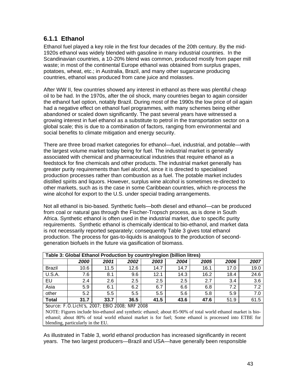#### **6.1.1 Ethanol**

Ethanol fuel played a key role in the first four decades of the 20th century. By the mid-1920s ethanol was widely blended with gasoline in many industrial countries. In the Scandinavian countries, a 10-20% blend was common, produced mostly from paper mill waste; in most of the continental Europe ethanol was obtained from surplus grapes, potatoes, wheat, etc.; in Australia, Brazil, and many other sugarcane producing countries, ethanol was produced from cane juice and molasses.

After WW II, few countries showed any interest in ethanol as there was plentiful cheap oil to be had. In the 1970s, after the oil shock, many countries began to again consider the ethanol fuel option, notably Brazil. During most of the 1990s the low price of oil again had a negative effect on ethanol fuel programmes, with many schemes being either abandoned or scaled down significantly. The past several years have witnessed a growing interest in fuel ethanol as a substitute to petrol in the transportation sector on a global scale; this is due to a combination of factors, ranging from environmental and social benefits to climate mitigation and energy security.

There are three broad market categories for ethanol—fuel, industrial, and potable—with the largest volume market today being for fuel. The industrial market is generally associated with chemical and pharmaceutical industries that require ethanol as a feedstock for fine chemicals and other products. The industrial market generally has greater purity requirements than fuel alcohol, since it is directed to specialised production processes rather than combustion as a fuel. The potable market includes distilled spirits and liquors. However, surplus wine alcohol is sometimes re-directed to other markets, such as is the case in some Caribbean countries, which re-process the wine alcohol for export to the U.S. under special trading arrangements.

Not all ethanol is bio-based. Synthetic fuels—both diesel and ethanol—can be produced from coal or natural gas through the Fischer-Tropsch process, as is done in South Africa. Synthetic ethanol is often used in the industrial market, due to specific purity requirements. Synthetic ethanol is chemically identical to bio-ethanol, and market data is not necessarily reported separately; consequently Table 3 gives total ethanol production. The process for gas-to-liquids is analogous to the production of secondgeneration biofuels in the future via gasification of biomass.

|               | Table 3: Global Ethanol Production by country/region (billion litres) |      |      |      |      |      |      |      |
|---------------|-----------------------------------------------------------------------|------|------|------|------|------|------|------|
|               | 2000                                                                  | 2001 | 2002 | 2003 | 2004 | 2005 | 2006 | 2007 |
| <b>Brazil</b> | 10.6                                                                  | 11.5 | 12.6 | 14.7 | 14.7 | 16.1 | 17.0 | 19.0 |
| <b>U.S.A.</b> | 7.6                                                                   | 8.1  | 9.6  | 12.1 | 14.3 | 16.2 | 18.4 | 24.6 |
| EU            | 2.4                                                                   | 2.6  | 2.5  | 2.5  | 2.5  | 2.7  | 3.4  | 3.6  |
| Asia          | 5.9                                                                   | 6.1  | 6.2  | 6.7  | 6.6  | 6.8  | 7.2  | 7.2  |
| other         | 5.2                                                                   | 5.5  | 5.5  | 5.5  | 5.6  | 5.8  | 5.9  | 7.0  |
| <b>Total</b>  | 31.7                                                                  | 33.7 | 36.5 | 41.5 | 43.6 | 47.6 | 51.9 | 61.5 |

*Source: F.O.Licht's, 2007; EBIO 2008; NRF 2008* 

NOTE: Figures include bio-ethanol and synthetic ethanol; about 85-90% of total world ethanol market is bioethanol; about 80% of total world ethanol market is for fuel; Some ethanol is processed into ETBE for blending, particularly in the EU.

As illustrated in Table 3, world ethanol production has increased significantly in recent years. The two largest producers—Brazil and USA—have generally been responsible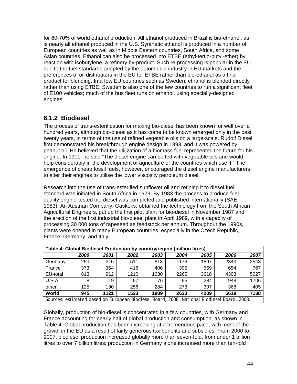for 60-70% of world ethanol production. All ethanol produced in Brazil is bio-ethanol, as is nearly all ethanol produced in the U.S. Synthetic ethanol is produced in a number of European countries as well as in Middle Eastern countries, South Africa, and some Asian countries. Ethanol can also be processed into ETBE (ethyl-tertio-butyl-ether) by reaction with isobutylene, a refinery by-product. Such re-processing is popular in the EU due to the fuel standards adopted by the automobile industry in EU markets and the preferences of oil distributors in the EU for ETBE rather than bio-ethanol as a final product for blending. In a few EU countries such as Sweden, ethanol is blended directly rather than using ETBE. Sweden is also one of the few countries to run a significant fleet of E100 vehicles; much of the bus fleet runs on ethanol, using specially-designed engines.

#### **6.1.2 Biodiesel**

The process of trans-esterification for making bio-diesel has been known for well over a hundred years, although bio-diesel as it has come to be known emerged only in the past twenty years, in terms of the use of refined vegetable oils on a large-scale. Rudolf Diesel first demonstrated his breakthrough engine design in 1893, and it was powered by peanut oil. He believed that the utilization of a biomass fuel represented the future for his engine. In 1911, he said "The diesel engine can be fed with vegetable oils and would help considerably in the development of agriculture of the countries which use it." The emergence of cheap fossil fuels, however, encouraged the diesel engine manufacturers to alter their engines to utilise the lower viscosity petroleum diesel.

Research into the use of trans-esterified sunflower oil and refining it to diesel fuel standard was initiated in South Africa in 1979. By 1983 the process to produce fuel quality engine-tested bio-diesel was completed and published internationally (SAE, 1983). An Austrian Company, Gaskoks, obtained the technology from the South African Agricultural Engineers, put up the first pilot plant for bio-diesel in November 1987 and the erection of the first industrial bio-diesel plant in April 1989, with a capacity of processing 30 000 tons of rapeseed as feedstock per annum. Throughout the 1990s, plants were opened in many European countries, especially in the Czech Republic, France, Germany, and Italy.

|               | Table 4: Global Biodiesel Production by country/region (million litres)                     |      |      |      |      |      |      |      |
|---------------|---------------------------------------------------------------------------------------------|------|------|------|------|------|------|------|
|               | 2000                                                                                        | 2001 | 2002 | 2003 | 2004 | 2005 | 2006 | 2007 |
| Germany       | 250                                                                                         | 315  | 511  | 813  | 1176 | 1897 | 2343 | 2543 |
| France        | 373                                                                                         | 364  | 416  | 406  | 395  | 559  | 654  | 767  |
| EU-total      | 813                                                                                         | 912  | 1210 | 1630 | 2265 | 3618 | 4303 | 5027 |
| <b>U.S.A.</b> | 8                                                                                           | 19   | 57   | 76   | 95   | 284  | 948  | 1706 |
| other         | 125                                                                                         | 190  | 256  | 284  | 273  | 307  | 368  | 405  |
| World         | 945                                                                                         | 1121 | 1523 | 1989 | 2633 | 4209 | 5619 | 7138 |
|               | Sources: estimated based on European Biodiesel Board, 2008; National Biodiesel Board, 2008. |      |      |      |      |      |      |      |

Globally, production of bio-diesel is concentrated in a few countries, with Germany and France accounting for nearly half of global production and consumption, as shown in Table 4. Global production has been increasing at a tremendous pace, with most of the growth in the EU as a result of fairly generous tax benefits and subsidies. From 2000 to 2007, biodiesel production increased globally more than seven-fold, from under 1 billion litres to over 7 billion litres; production in Germany alone increased more than ten-fold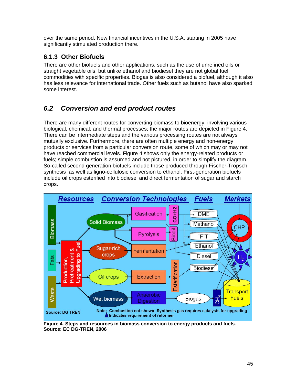over the same period. New financial incentives in the U.S.A. starting in 2005 have significantly stimulated production there.

#### **6.1.3 Other Biofuels**

There are other biofuels and other applications, such as the use of unrefined oils or straight vegetable oils, but unlike ethanol and biodiesel they are not global fuel commodities with specific properties. Biogas is also considered a biofuel, although it also has less relevance for international trade. Other fuels such as butanol have also sparked some interest.

# *6.2 Conversion and end product routes*

There are many different routes for converting biomass to bioenergy, involving various biological, chemical, and thermal processes; the major routes are depicted in Figure 4. There can be intermediate steps and the various processing routes are not always mutually exclusive. Furthermore, there are often multiple energy and non-energy products or services from a particular conversion route, some of which may or may not have reached commercial levels. Figure 4 shows only the energy-related products or fuels; simple combustion is assumed and not pictured, in order to simplify the diagram. So-called second generation biofuels include those produced through Fischer-Tropsch synthesis as well as ligno-cellulosic conversion to ethanol. First-generation biofuels include oil crops esterified into biodiesel and direct fermentation of sugar and starch crops.



**Figure 4. Steps and resources in biomass conversion to energy products and fuels. Source: EC DG-TREN, 2006**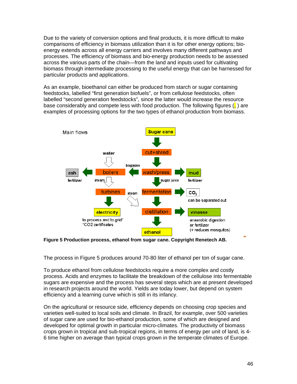Due to the variety of conversion options and final products, it is more difficult to make comparisons of efficiency in biomass utilization than it is for other energy options; bioenergy extends across all energy carriers and involves many different pathways and processes. The efficiency of biomass and bio-energy production needs to be assessed across the various parts of the chain—from the land and inputs used for cultivating biomass through intermediate processing to the useful energy that can be harnessed for particular products and applications.

As an example, bioethanol can either be produced from starch or sugar containing feedstocks, labelled "first generation biofuels", or from cellulose feedstocks, often labelled "second generation feedstocks", since the latter would increase the resource base considerably and compete less with food production. The following figures  $\binom{1}{k}$  are examples of processing options for the two types of ethanol production from biomass.



**Figure 5 Production process, ethanol from sugar cane. Copyright Renetech AB.** 

The process in Figure 5 produces around 70-80 liter of ethanol per ton of sugar cane.

To produce ethanol from cellulose feedstocks require a more complex and costly process. Acids and enzymes to facilitate the breakdown of the cellulose into fermentable sugars are expensive and the process has several steps which are at present developed in research projects around the world. Yields are today lower, but depend on system efficiency and a learning curve which is still in its infancy.

On the agricultural or resource side, efficiency depends on choosing crop species and varieties well-suited to local soils and climate. In Brazil, for example, over 500 varieties of sugar cane are used for bio-ethanol production, some of which are designed and developed for optimal growth in particular micro-climates. The productivity of biomass crops grown in tropical and sub-tropical regions, in terms of energy per unit of land, is 4- 6 time higher on average than typical crops grown in the temperate climates of Europe.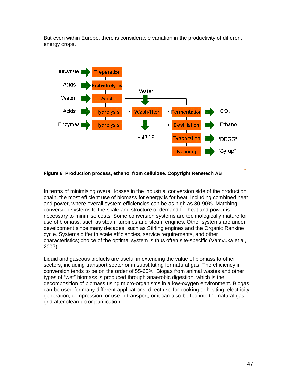But even within Europe, there is considerable variation in the productivity of different energy crops.



#### **Figure 6. Production process, ethanol from cellulose. Copyright Renetech AB**

In terms of minimising overall losses in the industrial conversion side of the production chain, the most efficient use of biomass for energy is for heat, including combined heat and power, where overall system efficiencies can be as high as 80-90%. Matching conversion systems to the scale and structure of demand for heat and power is necessary to minimise costs. Some conversion systems are technologically mature for use of biomass, such as steam turbines and steam engines. Other systems are under development since many decades, such as Stirling engines and the Organic Rankine cycle. Systems differ in scale efficiencies, service requirements, and other characteristics; choice of the optimal system is thus often site-specific (Vamvuka et al, 2007).

Liquid and gaseous biofuels are useful in extending the value of biomass to other sectors, including transport sector or in substituting for natural gas. The efficiency in conversion tends to be on the order of 55-65%. Biogas from animal wastes and other types of "wet" biomass is produced through anaerobic digestion, which is the decomposition of biomass using micro-organisms in a low-oxygen environment. Biogas can be used for many different applications: direct use for cooking or heating, electricity generation, compression for use in transport, or it can also be fed into the natural gas grid after clean-up or purification.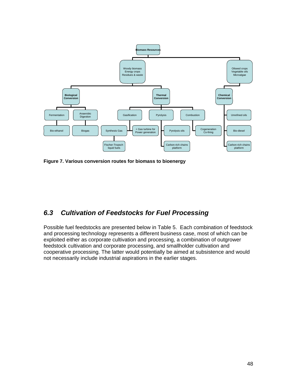

**Figure 7. Various conversion routes for biomass to bioenergy** 

### *6.3 Cultivation of Feedstocks for Fuel Processing*

Possible fuel feedstocks are presented below in Table 5. Each combination of feedstock and processing technology represents a different business case, most of which can be exploited either as corporate cultivation and processing, a combination of outgrower feedstock cultivation and corporate processing, and smallholder cultivation and cooperative processing. The latter would potentially be aimed at subsistence and would not necessarily include industrial aspirations in the earlier stages.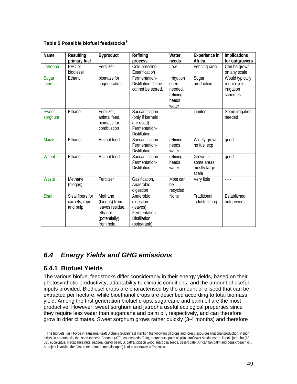| Table 5 Possible biofuel feedstocks <sup>9</sup> |  |
|--------------------------------------------------|--|
|--------------------------------------------------|--|

| Name                    | Resulting<br>primary fuel                     | <b>Byproduct</b>                                                                     | Refining<br>process                                                                         | Water<br>needs                                                      | Experience in<br>Africa                          | <b>Implications</b><br>for outgrowers                     |
|-------------------------|-----------------------------------------------|--------------------------------------------------------------------------------------|---------------------------------------------------------------------------------------------|---------------------------------------------------------------------|--------------------------------------------------|-----------------------------------------------------------|
| Jatropha                | PPO or<br>biodiesel                           | Fertilizer                                                                           | Cold pressing-<br>Esterification                                                            | Low                                                                 | Fencing crop                                     | Can be grown<br>on any scale                              |
| Sugar<br>cane           | Ethanol                                       | biomass for<br>cogeneration                                                          | Fermentation-<br>Distillation. Cane<br>cannot be stored.                                    | <b>Irrigation</b><br>often<br>needed,<br>refining<br>needs<br>water | Sugar<br>production                              | Would typically<br>require joint<br>irrigation<br>schemes |
| <b>Sweet</b><br>sorghum | Ethanol                                       | Fertilizer,<br>animal feed,<br>biomass for<br>combustion                             | Saccarification-<br>(only if kernels<br>are used)<br>Fermentation-<br><b>Distillation</b>   |                                                                     | Limited                                          | Some irrigation<br>needed                                 |
| Maize                   | Ethanol                                       | Animal feed                                                                          | Saccarification-<br>Fermentation-<br><b>Distillation</b>                                    | refining<br>needs<br>water                                          | Widely grown,<br>no fuel exp                     | good                                                      |
| Wheat                   | Ethanol                                       | Animal feed                                                                          | Saccarification-<br>Fermentation-<br><b>Distillation</b>                                    | refining<br>needs<br>water                                          | Grown in<br>some areas,<br>mostly large<br>scale | good                                                      |
| Waste                   | Methane<br>(biogas)                           | Fertilizer                                                                           | Gasification,<br>Anaerobic<br>digestion                                                     | Most can<br>be<br>recycled                                          | Very little                                      | - - -                                                     |
| <b>Sisal</b>            | Sisal fibers for<br>carpets, rope<br>and pulp | Methane<br>(biogas) from<br>leaves residue,<br>ethanol<br>(potentially)<br>from bole | Anaerobic<br>digestion<br>(leaves),<br>Fermentation-<br><b>Distillation</b><br>(bole/trunk) | None                                                                | Traditional<br>industrial crop                   | Established<br>outgrowers                                 |

# *6.4 Energy Yields and GHG emissions*

#### **6.4.1 Biofuel Yields**

The various biofuel feedstocks differ considerably in their energy yields, based on their photosynthetic productivity, adaptability to climatic conditions, and the amount of useful inputs provided. Biodiesel crops are characterised by the amount of oilseed that can be extracted per hectare, while bioethanol crops are described according to total biomass yield. Among the first generation biofuel crops, sugarcane and palm oil are the most productive. However, sweet sorghum and jatropha useful ecological properties since they require less water than sugarcane and palm oil, respectively, and can therefore grow in drier climates. Sweet sorghum grows rather quickly (3-4 months) and therefore

<span id="page-48-0"></span><sup>&</sup>lt;sup>9</sup> The Biofuels Task Force in Tanzania (draft Biofuels Guidelines) mention the following oil crops and forest resources (national production, if such exists, in parenthesis, thousand tonnes): Coconut (370), cottonseeds (210), groundnuts, palm oil (60), sunflower seeds, copra, kapok, jatropha (18- 58), eucalyptus, macadamia nuts, pappea, castor bean, S. caffra, pigeon wood, margosa seeds, desert date, African fan palm and peasic/peach oil.. A project involving the Croton tree (croton megalocapas) is also underway in Tanzania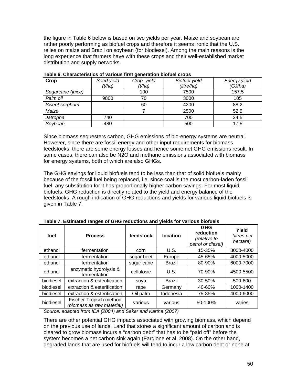the figure in Table 6 below is based on two yields per year. Maize and soybean are rather poorly performing as biofuel crops and therefore it seems ironic that the U.S. relies on maize and Brazil on soybean (for biodiesel). Among the main reasons is the long experience that farmers have with these crops and their well-established market distribution and supply networks.

| Crop              | Seed yield | Crop yield | <b>Biofuel yield</b> | Energy yield |
|-------------------|------------|------------|----------------------|--------------|
|                   | (t/ha)     | (t/ha)     | (litre/ha)           | (GJ/ha)      |
| Sugarcane (juice) |            | 100        | 7500                 | 157.5        |
| Palm oil          | 9800       | 70         | 3000                 | 105          |
| Sweet sorghum     |            | 60         | 4200                 | 88.2         |
| Maize             |            |            | 2500                 | 52.5         |
| Jatropha          | 740        |            | 700                  | 24.5         |
| Soybean           | 480        |            | 500                  | 17.5         |

**Table 6. Characteristics of various first generation biofuel crops** 

Since biomass sequesters carbon, GHG emissions of bio-energy systems are neutral. However, since there are fossil energy and other input requirements for biomass feedstocks, there are some energy losses and hence some net GHG emissions result. In some cases, there can also be N2O and methane emissions associated with biomass for energy systems, both of which are also GHGs.

The GHG savings for liquid biofuels tend to be less than that of solid biofuels mainly because of the fossil fuel being replaced, i.e. since coal is the most carbon-laden fossil fuel, any substitution for it has proportionally higher carbon savings. For most liquid biofuels, GHG reduction is directly related to the yield and energy balance of the feedstocks. A rough indication of GHG reductions and yields for various liquid biofuels is given in Table 7.

| fuel                              | <b>Process</b>                                                                                                                                                 | feedstock  | location      | <b>GHG</b><br>reduction<br>(relative to<br>petrol or diesel) | Yield<br>(litres per<br>hectare) |
|-----------------------------------|----------------------------------------------------------------------------------------------------------------------------------------------------------------|------------|---------------|--------------------------------------------------------------|----------------------------------|
| ethanol                           | fermentation                                                                                                                                                   | corn       | U.S.          | 15-35%                                                       | 3000-4000                        |
| ethanol                           | fermentation                                                                                                                                                   | sugar beet | Europe        | 45-65%                                                       | 4000-5000                        |
| ethanol                           | fermentation                                                                                                                                                   | sugar cane | <b>Brazil</b> | 80-90%                                                       | 6000-7000                        |
| ethanol                           | enzymatic hydrolysis &<br>fermentation                                                                                                                         | cellulosic | U.S.          | 70-90%                                                       | 4500-5500                        |
| biodiesel                         | extraction & esterification                                                                                                                                    | soya       | <b>Brazil</b> | 30-50%                                                       | 500-600                          |
| biodiesel                         | extraction & esterification                                                                                                                                    | rape       | Germany       | 40-60%                                                       | 1000-1400                        |
| biodiesel                         | extraction & esterification                                                                                                                                    | Oil palm   | Indonesia     | 75-85%                                                       | 4000-6000                        |
| biodiesel<br>$\sim$ $\sim$ $\sim$ | Fischer-Tropsch method<br>(biomass as raw material)<br>$1 - 1$ $1 - 1$ $2 - 1$ $1 - 1$ $2 - 2$ $3 - 1$ $4 - 1$ $5 - 1$ $5 - 1$ $1$ $2 - 1$ $1$ $2 - 1$ $3 - 2$ | various    | various       | 50-100%                                                      | varies                           |

**Table 7. Estimated ranges of GHG reductions and yields for various biofuels** 

*Source: adapted from IEA (2004) and Sakar and Kartha (2007)* 

There are other potential GHG impacts associated with growing biomass, which depend on the previous use of lands. Land that stores a significant amount of carbon and is cleared to grow biomass incurs a "carbon debt" that has to be "paid off" before the system becomes a net carbon sink again (Fargione et al, 2008). On the other hand, degraded lands that are used for biofuels will tend to incur a low carbon debt or none at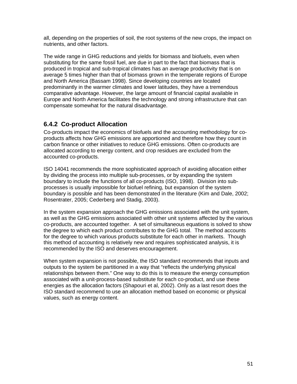all, depending on the properties of soil, the root systems of the new crops, the impact on nutrients, and other factors.

The wide range in GHG reductions and yields for biomass and biofuels, even when substituting for the same fossil fuel, are due in part to the fact that biomass that is produced in tropical and sub-tropical climates has an average productivity that is on average 5 times higher than that of biomass grown in the temperate regions of Europe and North America (Bassam 1998). Since developing countries are located predominantly in the warmer climates and lower latitudes, they have a tremendous comparative advantage. However, the large amount of financial capital available in Europe and North America facilitates the technology and strong infrastructure that can compensate somewhat for the natural disadvantage.

#### **6.4.2 Co-product Allocation**

Co-products impact the economics of biofuels and the accounting methodology for coproducts affects how GHG emissions are apportioned and therefore how they count in carbon finance or other initiatives to reduce GHG emissions. Often co-products are allocated according to energy content, and crop residues are excluded from the accounted co-products.

ISO 14041 recommends the more sophisticated approach of avoiding allocation either by dividing the process into multiple sub-processes, or by expanding the system boundary to include the functions of all co-products (ISO, 1998). Division into subprocesses is usually impossible for biofuel refining, but expansion of the system boundary is possible and has been demonstrated in the literature (Kim and Dale, 2002; Rosentrater, 2005; Cederberg and Stadig, 2003).

In the system expansion approach the GHG emissions associated with the unit system, as well as the GHG emissions associated with other unit systems affected by the various co-products, are accounted together. A set of simultaneous equations is solved to show the degree to which each product contributes to the GHG total. The method accounts for the degree to which various products substitute for each other in markets. Though this method of accounting is relatively new and requires sophisticated analysis, it is recommended by the ISO and deserves encouragement.

When system expansion is not possible, the ISO standard recommends that inputs and outputs to the system be partitioned in a way that "reflects the underlying physical relationships between them." One way to do this is to measure the energy consumption associated with a unit-process-based substitute for each co-product, and use these energies as the allocation factors (Shapouri et al, 2002). Only as a last resort does the ISO standard recommend to use an allocation method based on economic or physical values, such as energy content.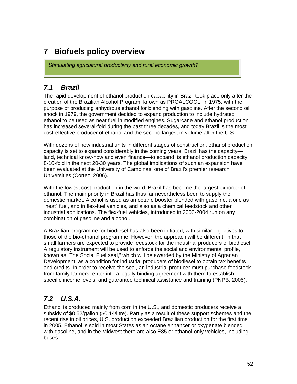# **7 Biofuels policy overview**

*Stimulating agricultural productivity and rural economic growth?* 

### *7.1 Brazil*

The rapid development of ethanol production capability in Brazil took place only after the creation of the Brazilian Alcohol Program, known as PROALCOOL, in 1975, with the purpose of producing anhydrous ethanol for blending with gasoline. After the second oil shock in 1979, the government decided to expand production to include hydrated ethanol to be used as neat fuel in modified engines. Sugarcane and ethanol production has increased several-fold during the past three decades, and today Brazil is the most cost-effective producer of ethanol and the second largest in volume after the U.S.

With dozens of new industrial units in different stages of construction, ethanol production capacity is set to expand considerably in the coming years. Brazil has the capacity land, technical know-how and even finance—to expand its ethanol production capacity 8-10-fold in the next 20-30 years. The global implications of such an expansion have been evaluated at the University of Campinas, one of Brazil's premier research Universities (Cortez, 2006).

With the lowest cost production in the word, Brazil has become the largest exporter of ethanol. The main priority in Brazil has thus far nevertheless been to supply the domestic market. Alcohol is used as an octane booster blended with gasoline, alone as "neat" fuel, and in flex-fuel vehicles, and also as a chemical feedstock and other industrial applications. The flex-fuel vehicles, introduced in 2003-2004 run on any combination of gasoline and alcohol.

A Brazilian programme for biodiesel has also been initiated, with similar objectives to those of the bio-ethanol programme. However, the approach will be different, in that small farmers are expected to provide feedstock for the industrial producers of biodiesel. A regulatory instrument will be used to enforce the social and environmental profile, known as "The Social Fuel seal," which will be awarded by the Ministry of Agrarian Development, as a condition for industrial producers of biodiesel to obtain tax benefits and credits. In order to receive the seal, an industrial producer must purchase feedstock from family farmers, enter into a legally binding agreement with them to establish specific income levels, and guarantee technical assistance and training (PNPB, 2005).

# *7.2 U.S.A.*

Ethanol is produced mainly from corn in the U.S., and domestic producers receive a subsidy of \$0.52/gallon (\$0.14/litre). Partly as a result of these support schemes and the recent rise in oil prices, U.S. production exceeded Brazilian production for the first time in 2005. Ethanol is sold in most States as an octane enhancer or oxygenate blended with gasoline, and in the Midwest there are also E85 or ethanol-only vehicles, including buses.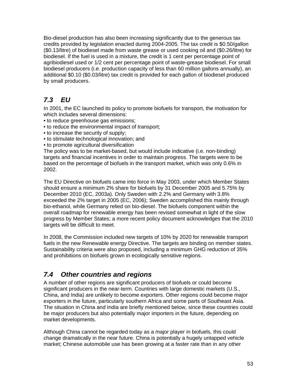Bio-diesel production has also been increasing significantly due to the generous tax credits provided by legislation enacted during 2004-2005. The tax credit is \$0.50/gallon (\$0.13/litre) of biodiesel made from waste grease or used cooking oil and (\$0.26/litre) for biodiesel. If the fuel is used in a mixture, the credit is 1 cent per percentage point of agribiodiesel used or 1/2 cent per percentage point of waste-grease biodiesel. For small biodiesel producers (i.e. production capacity of less than 60 million gallons annually), an additional \$0.10 (\$0.03/litre) tax credit is provided for each gallon of biodiesel produced by small producers.

# *7.3 EU*

In 2001, the EC launched its policy to promote biofuels for transport, the motivation for which includes several dimensions:

- to reduce greenhouse gas emissions;
- to reduce the environmental impact of transport;
- to increase the security of supply;
- to stimulate technological innovation; and
- to promote agricultural diversification

The policy was to be market-based, but would include indicative (i.e. non-binding) targets and financial incentives in order to maintain progress. The targets were to be based on the percentage of biofuels in the transport market, which was only 0.6% in 2002.

The EU Directive on biofuels came into force in May 2003, under which Member States should ensure a minimum 2% share for biofuels by 31 December 2005 and 5.75% by December 2010 (EC, 2003a). Only Sweden with 2.2% and Germany with 3.8% exceeded the 2% target in 2005 (EC, 2006); Sweden accomplished this mainly through bio-ethanol, while Germany relied on bio-diesel. The biofuels component within the overall roadmap for renewable energy has been revised somewhat in light of the slow progress by Member States; a more recent policy document acknowledges that the 2010 targets will be difficult to meet.

In 2008, the Commission included new targets of 10% by 2020 for renewable transport fuels in the new Renewable energy Directive. The targets are binding on member states. Sustainability criteria were also proposed, including a minimum GHG reduction of 35% and prohibitions on biofuels grown in ecologically sensitive regions.

# *7.4 Other countries and regions*

A number of other regions are significant producers of biofuels or could become significant producers in the near-term. Countries with large domestic markets (U.S., China, and India) are unlikely to become exporters. Other regions could become major exporters in the future, particularly southern Africa and some parts of Southeast Asia. The situation in China and India are briefly mentioned below, since these countries could be major producers but also potentially major importers in the future, depending on market developments.

Although China cannot be regarded today as a major player in biofuels, this could change dramatically in the near future. China is potentially a hugely untapped vehicle market; Chinese automobile use has been growing at a faster rate than in any other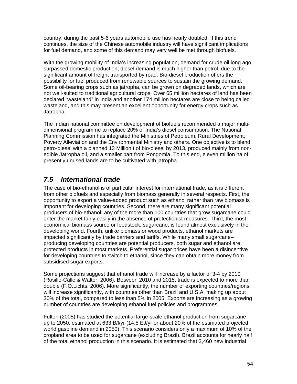country; during the past 5-6 years automobile use has nearly doubled. If this trend continues, the size of the Chinese automobile industry will have significant implications for fuel demand, and some of this demand may very well be met through biofuels.

With the growing mobility of India's increasing population, demand for crude oil long ago surpassed domestic production; diesel demand is much higher than petrol, due to the significant amount of freight transported by road. Bio-diesel production offers the possibility for fuel produced from renewable sources to sustain the growing demand. Some oil-bearing crops such as jatropha, can be grown on degraded lands, which are not well-suited to traditional agricultural crops. Over 65 million hectares of land has been declared "wasteland" in India and another 174 million hectares are close to being called wasteland, and this may present an excellent opportunity for energy crops such as Jatropha.

The Indian national committee on development of biofuels recommended a major multidimensional programme to replace 20% of India's diesel consumption. The National Planning Commission has integrated the Ministries of Petroleum, Rural Development, Poverty Alleviation and the Environmental Ministry and others. One objective is to blend petro-diesel with a planned 13 Million t of bio-diesel by 2013, produced mainly from nonedible Jatropha oil, and a smaller part from Pongomia. To this end, eleven million ha of presently unused lands are to be cultivated with jatropha.

### *7.5 International trade*

The case of bio-ethanol is of particular interest for international trade, as it is different from other biofuels and especially from biomass generally in several respects. First, the opportunity to export a value-added product such as ethanol rather than raw biomass is important for developing countries. Second, there are many significant potential producers of bio-ethanol; any of the more than 100 countries that grow sugarcane could enter the market fairly easily in the absence of protectionist measures. Third, the most economical biomass source or feedstock, sugarcane, is found almost exclusively in the developing world. Fourth, unlike biomass or wood products, ethanol markets are impacted significantly by trade barriers and tariffs. While many small sugarcane– producing developing countries are potential producers, both sugar and ethanol are protected products in most markets. Preferential sugar prices have been a disincentive for developing countries to switch to ethanol, since they can obtain more money from subsidised sugar exports.

Some projections suggest that ethanol trade will increase by a factor of 3-4 by 2010 (Rosillo-Calle & Walter, 2006). Between 2010 and 2015, trade is expected to more than double (F.O.Lichts, 2006). More significantly, the number of exporting countries/regions will increase significantly, with countries other than Brazil and U.S.A. making up about 30% of the total, compared to less than 5% in 2005. Exports are increasing as a growing number of countries are developing ethanol fuel policies and programmes.

Fulton (2005) has studied the potential large-scale ethanol production from sugarcane up to 2050, estimated at 633 B/l/yr (14.5 EJ/yr or about 20% of the estimated projected world gasoline demand in 2050). This scenario considers only a maximum of 10% of the cropland area to be used for sugarcane (excluding Brazil). Brazil accounts for nearly half of the total ethanol production in this scenario. It is estimated that 3,460 new industrial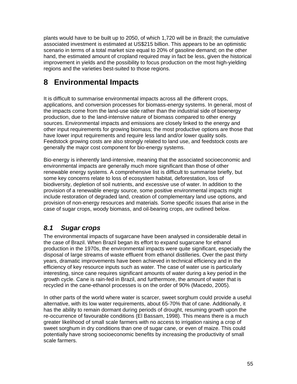plants would have to be built up to 2050, of which 1,720 will be in Brazil; the cumulative associated investment is estimated at US\$215 billion. This appears to be an optimistic scenario in terms of a total market size equal to 20% of gasoline demand; on the other hand, the estimated amount of cropland required may in fact be less, given the historical improvement in yields and the possibility to focus production on the most high-yielding regions and the varieties best-suited to those regions.

# **8 Environmental Impacts**

It is difficult to summarise environmental impacts across all the different crops, applications, and conversion processes for biomass-energy systems. In general, most of the impacts come from the land-use side rather than the industrial side of bioenergy production, due to the land-intensive nature of biomass compared to other energy sources. Environmental impacts and emissions are closely linked to the energy and other input requirements for growing biomass; the most productive options are those that have lower input requirements and require less land and/or lower quality soils. Feedstock growing costs are also strongly related to land use, and feedstock costs are generally the major cost component for bio-energy systems.

Bio-energy is inherently land-intensive, meaning that the associated socioeconomic and environmental impacts are generally much more significant than those of other renewable energy systems. A comprehensive list is difficult to summarise briefly, but some key concerns relate to loss of ecosystem habitat, deforestation, loss of biodiversity, depletion of soil nutrients, and excessive use of water. In addition to the provision of a renewable energy source, some positive environmental impacts might include restoration of degraded land, creation of complementary land use options, and provision of non-energy resources and materials. Some specific issues that arise in the case of sugar crops, woody biomass, and oil-bearing crops, are outlined below.

# *8.1 Sugar crops*

The environmental impacts of sugarcane have been analysed in considerable detail in the case of Brazil. When Brazil began its effort to expand sugarcane for ethanol production in the 1970s, the environmental impacts were quite significant, especially the disposal of large streams of waste effluent from ethanol distilleries. Over the past thirty years, dramatic improvements have been achieved in technical efficiency and in the efficiency of key resource inputs such as water. The case of water use is particularly interesting, since cane requires significant amounts of water during a key period in the growth cycle. Cane is rain-fed in Brazil, and furthermore, the amount of water that is recycled in the cane-ethanol processes is on the order of 90% (Macedo, 2005).

In other parts of the world where water is scarcer, sweet sorghum could provide a useful alternative, with its low water requirements, about 65-70% that of cane. Additionally, it has the ability to remain dormant during periods of drought, resuming growth upon the re-occurrence of favourable conditions (El Bassam, 1998). This means there is a much greater likelihood of small scale farmers with no access to irrigation raising a crop of sweet sorghum in dry conditions than one of sugar cane, or even of maize. This could potentially have strong socioeconomic benefits by increasing the productivity of small scale farmers.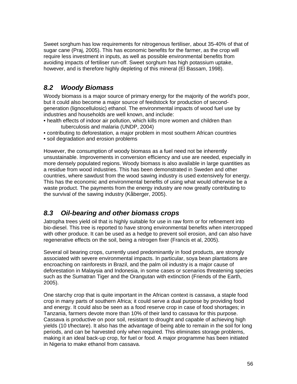Sweet sorghum has low requirements for nitrogenous fertiliser, about 35-40% of that of sugar cane (Praj, 2005). This has economic benefits for the farmer, as the crop will require less investment in inputs, as well as possible environmental benefits from avoiding impacts of fertiliser run-off. Sweet sorghum has high potassium uptake, however, and is therefore highly depleting of this mineral (El Bassam, 1998).

### *8.2 Woody Biomass*

Woody biomass is a major source of primary energy for the majority of the world's poor, but it could also become a major source of feedstock for production of secondgeneration (lignocellulosic) ethanol. The environmental impacts of wood fuel use by industries and households are well known, and include:

- health effects of indoor air pollution, which kills more women and children than tuberculosis and malaria (UNDP, 2004)
- contributing to deforestation, a major problem in most southern African countries
- soil degradation and erosion problems

However, the consumption of woody biomass as a fuel need not be inherently unsustainable. Improvements in conversion efficiency and use are needed, especially in more densely populated regions. Woody biomass is also available in large quantities as a residue from wood industries. This has been demonstrated in Sweden and other countries, where sawdust from the wood sawing industry is used extensively for energy. This has the economic and environmental benefits of using what would otherwise be a waste product. The payments from the energy industry are now greatly contributing to the survival of the sawing industry (Kåberger, 2005).

#### *8.3 Oil-bearing and other biomass crops*

Jatropha trees yield oil that is highly suitable for use in raw form or for refinement into bio-diesel. This tree is reported to have strong environmental benefits when intercropped with other produce. It can be used as a hedge to prevent soil erosion, and can also have regenerative effects on the soil, being a nitrogen fixer (Francis et al, 2005).

Several oil bearing crops, currently used predominantly in food products, are strongly associated with severe environmental impacts. In particular, soya bean plantations are encroaching on rainforests in Brazil, and the palm oil industry is a major cause of deforestation in Malaysia and Indonesia, in some cases or scenarios threatening species such as the Sumatran Tiger and the Orangutan with extinction (Friends of the Earth, 2005).

One starchy crop that is quite important in the African context is cassava, a staple food crop in many parts of southern Africa; it could serve a dual purpose by providing food and energy. It could also be seen as a food reserve crop in case of food shortages; in Tanzania, farmers devote more than 10% of their land to cassava for this purpose. Cassava is productive on poor soil, resistant to drought and capable of achieving high yields (10 t/hectare). It also has the advantage of being able to remain in the soil for long periods, and can be harvested only when required. This eliminates storage problems, making it an ideal back-up crop, for fuel or food. A major programme has been initiated in Nigeria to make ethanol from cassava.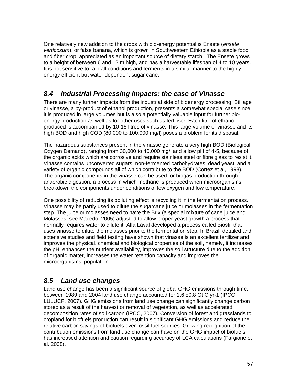One relatively new addition to the crops with bio-energy potential is Ensete (*ensete verticosum*), or false banana, which is grown in Southwestern Ethiopia as a staple food and fiber crop, appreciated as an important source of dietary starch. The Ensete grows to a height of between 6 and 12 m high, and has a harvestable lifespan of 4 to 10 years. It is not sensitive to rainfall conditions and ferments in a similar manner to the highly energy efficient but water dependent sugar cane.

### *8.4 Industrial Processing Impacts: the case of Vinasse*

There are many further impacts from the industrial side of bioenergy processing. Stillage or vinasse, a by-product of ethanol production, presents a somewhat special case since it is produced in large volumes but is also a potentially valuable input for further bioenergy production as well as for other uses such as fertiliser. Each litre of ethanol produced is accompanied by 10-15 litres of vinasse. This large volume of vinasse and its high BOD and high COD (80,000 to 100,000 mg/l) poses a problem for its disposal.

The hazardous substances present in the vinasse generate a very high BOD (Biological Oxygen Demand), ranging from 30,000 to 40,000 mg/l and a low pH of 4-5, because of the organic acids which are corrosive and require stainless steel or fibre glass to resist it. Vinasse contains unconverted sugars, non-fermented carbohydrates, dead yeast, and a variety of organic compounds all of which contribute to the BOD (Cortez et al, 1998). The organic components in the vinasse can be used for biogas production through anaerobic digestion, a process in which methane is produced when microorganisms breakdown the components under conditions of low oxygen and low temperature.

One possibility of reducing its polluting effect is recycling it in the fermentation process. Vinasse may be partly used to dilute the sugarcane juice or molasses in the fermentation step. The juice or molasses need to have the Brix (a special mixture of cane juice and Molasses, see Macedo, 2005) adjusted to allow proper yeast growth a process that normally requires water to dilute it. Alfa Laval developed a process called Biostil that uses vinasse to dilute the molasses prior to the fermentation step. In Brazil, detailed and extensive studies and field testing have shown that vinasse is an excellent fertilizer and improves the physical, chemical and biological properties of the soil, namely, it increases the pH, enhances the nutrient availability, improves the soil structure due to the addition of organic matter, increases the water retention capacity and improves the microorganisms' population.

# *8.5 Land use changes*

Land use change has been a significant source of global GHG emissions through time, between 1989 and 2004 land use change accounted for 1.6 ±0.8 Gt C yr-1 (IPCC LULUCF, 2007). GHG emissions from land use change can significantly change carbon stored as a result of the harvest or removal of vegetation, as well as accelerated decomposition rates of soil carbon (IPCC, 2007). Conversion of forest and grasslands to cropland for biofuels production can result in significant GHG emissions and reduce the relative carbon savings of biofuels over fossil fuel sources. Growing recognition of the contribution emissions from land use change can have on the GHG impact of biofuels has increased attention and caution regarding accuracy of LCA calculations (Fargione et al. 2008).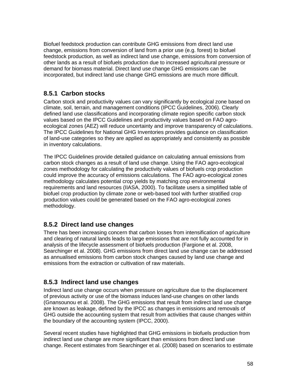Biofuel feedstock production can contribute GHG emissions from direct land use change, emissions from conversion of land from a prior use (e.g. forest) to biofuel feedstock production, as well as indirect land use change, emissions from conversion of other lands as a result of biofuels production due to increased agricultural pressure or demand for biomass material. Direct land use change GHG emissions can be incorporated, but indirect land use change GHG emissions are much more difficult.

#### **8.5.1 Carbon stocks**

Carbon stock and productivity values can vary significantly by ecological zone based on climate, soil, terrain, and management conditions (IPCC Guidelines, 2006). Clearly defined land use classifications and incorporating climate region specific carbon stock values based on the IPCC Guidelines and productivity values based on FAO agroecological zones (AEZ) will reduce uncertainty and improve transparency of calculations. The IPCC Guidelines for National GHG Inventories provides guidance on classification of land-use categories so they are applied as appropriately and consistently as possible in inventory calculations.

The IPCC Guidelines provide detailed guidance on calculating annual emissions from carbon stock changes as a result of land use change. Using the FAO agro-ecological zones methodology for calculating the productivity values of biofuels crop production could improve the accuracy of emissions calculations. The FAO agro-ecological zones methodology calculates potential crop yields by matching crop environmental requirements and land resources (IIASA, 2000). To facilitate users a simplified table of biofuel crop production by climate zone or web-based tool with further stratified crop production values could be generated based on the FAO agro-ecological zones methodology.

#### **8.5.2 Direct land use changes**

There has been increasing concern that carbon losses from intensification of agriculture and clearing of natural lands leads to large emissions that are not fully accounted for in analysis of the lifecycle assessment of biofuels production (Fargione et al. 2008, Searchinger et al. 2008). GHG emissions from direct land use change can be addressed as annualised emissions from carbon stock changes caused by land use change and emissions from the extraction or cultivation of raw materials.

#### **8.5.3 Indirect land use changes**

Indirect land use change occurs when pressure on agriculture due to the displacement of previous activity or use of the biomass induces land-use changes on other lands (Gnansounou et al. 2008). The GHG emissions that result from indirect land use change are known as leakage, defined by the IPCC as changes in emissions and removals of GHG outside the accounting system that result from activities that cause changes within the boundary of the accounting system (IPCC, 2000).

Several recent studies have highlighted that GHG emissions in biofuels production from indirect land use change are more significant than emissions from direct land use change. Recent estimates from Searchinger et al. (2008) based on scenarios to estimate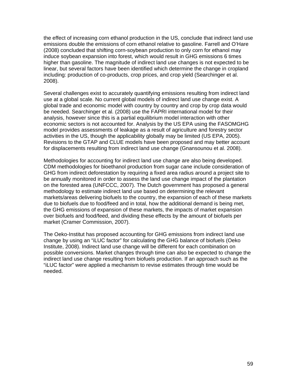the effect of increasing corn ethanol production in the US, conclude that indirect land use emissions double the emissions of corn ethanol relative to gasoline. Farrell and O'Hare (2008) concluded that shifting corn-soybean production to only corn for ethanol may induce soybean expansion into forest, which would result in GHG emissions 6 times higher than gasoline. The magnitude of indirect land use changes is not expected to be linear, but several factors have been identified which determine the change in cropland including: production of co-products, crop prices, and crop yield (Searchinger et al. 2008).

Several challenges exist to accurately quantifying emissions resulting from indirect land use at a global scale. No current global models of indirect land use change exist. A global trade and economic model with country by country and crop by crop data would be needed. Searchinger et al. (2008) use the FAPRI international model for their analysis, however since this is a partial equilibrium model interaction with other economic sectors is not accounted for. Analysis by the US EPA using the FASOMGHG model provides assessments of leakage as a result of agriculture and forestry sector activities in the US, though the applicability globally may be limited (US EPA, 2005). Revisions to the GTAP and CLUE models have been proposed and may better account for displacements resulting from indirect land use change (Gnansounou et al. 2008).

Methodologies for accounting for indirect land use change are also being developed. CDM methodologies for bioethanol production from sugar cane include consideration of GHG from indirect deforestation by requiring a fixed area radius around a project site to be annually monitored in order to assess the land use change impact of the plantation on the forested area (UNFCCC, 2007). The Dutch government has proposed a general methodology to estimate indirect land use based on determining the relevant markets/areas delivering biofuels to the country, the expansion of each of these markets due to biofuels due to food/feed and in total, how the additional demand is being met, the GHG emissions of expansion of these markets, the impacts of market expansion over biofuels and food/feed, and dividing these effects by the amount of biofuels per market (Cramer Commission, 2007).

The Oeko-Institut has proposed accounting for GHG emissions from indirect land use change by using an "iLUC factor" for calculating the GHG balance of biofuels (Oeko Institute, 2008). Indirect land use change will be different for each combination on possible conversions. Market changes through time can also be expected to change the indirect land use change resulting from biofuels production. If an approach such as the "iLUC factor" were applied a mechanism to revise estimates through time would be needed.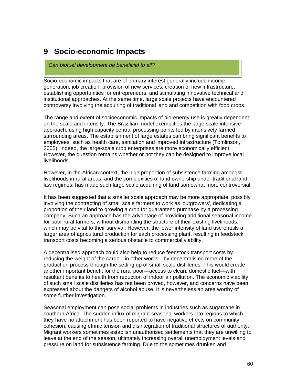# **9 Socio-economic Impacts**

#### *Can biofuel development be beneficial to all?*

Socio-economic impacts that are of primary interest generally include income generation, job creation, provision of new services, creation of new infrastructure, establishing opportunities for entrepreneurs, and stimulating innovative technical and institutional approaches. At the same time, large scale projects have encountered controversy involving the acquiring of traditional land and competition with food crops.

The range and extent of socioeconomic impacts of bio-energy use is greatly dependent on the scale and intensity. The Brazilian model exemplifies the large scale intensive approach, using high capacity central processing points fed by intensively farmed surrounding areas. The establishment of large estates can bring significant benefits to employees, such as health care, sanitation and improved infrastructure (Tomlinson, 2005). Indeed, the large-scale crop enterprises are more economically efficient. However, the question remains whether or not they can be designed to improve local livelihoods.

However, in the African context, the high proportion of subsistence farming amongst livelihoods in rural areas, and the complexities of land ownership under traditional land law regimes, has made such large scale acquiring of land somewhat more controversial.

It has been suggested that a smaller scale approach may be more appropriate, possibly involving the contracting of small scale farmers to work as 'outgrowers', dedicating a proportion of their land to growing a crop for guaranteed purchase by a processing company. Such an approach has the advantage of providing additional seasonal income for poor rural farmers, without dismantling the structure of their existing livelihoods, which may be vital to their survival. However, the lower intensity of land use entails a larger area of agricultural production for each processing plant, resulting in feedstock transport costs becoming a serious obstacle to commercial viability.

A decentralised approach could also help to reduce feedstock transport costs by reducing the weight of the cargo—in other words—by decentralising more of the production process through the setting up of small scale distilleries. This would create another important benefit for the rural poor—access to clean, domestic fuel—with resultant benefits to health from reduction of indoor air pollution. The economic viability of such small scale distilleries has not been proved, however, and concerns have been expressed about the dangers of alcohol abuse. It is nevertheless an area worthy of some further investigation.

Seasonal employment can pose social problems in industries such as sugarcane in southern Africa. The sudden influx of migrant seasonal workers into regions to which they have no attachment has been reported to have negative effects on community cohesion, causing ethnic tension and disintegration of traditional structures of authority. Migrant workers sometimes establish unauthorised settlements that they are unwilling to leave at the end of the season, ultimately increasing overall unemployment levels and pressure on land for subsistence farming. Due to the sometimes drunken and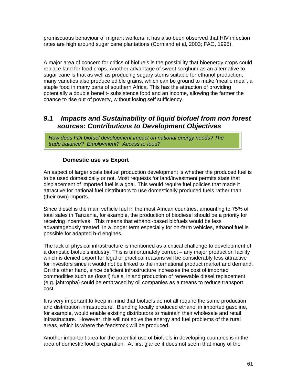promiscuous behaviour of migrant workers, it has also been observed that HIV infection rates are high around sugar cane plantations (Cornland et al, 2003; FAO, 1995).

A major area of concern for critics of biofuels is the possibility that bioenergy crops could replace land for food crops. Another advantage of sweet sorghum as an alternative to sugar cane is that as well as producing sugary stems suitable for ethanol production, many varieties also produce edible grains, which can be ground to make 'mealie meal', a staple food in many parts of southern Africa. This has the attraction of providing potentially a double benefit- subsistence food and an income, allowing the farmer the chance to rise out of poverty, without losing self sufficiency.

#### *9.1 Impacts and Sustainability of liquid biofuel from non forest sources: Contributions to Development Objectives*

*How does FDI biofuel development impact on national energy needs? The trade balance? Employment? Access to food?*

#### **Domestic use vs Export**

An aspect of larger scale biofuel production development is whether the produced fuel is to be used domestically or not. Most requests for land/investment permits state that displacement of imported fuel is a goal. This would require fuel policies that made it attractive for national fuel distributors to use domestically produced fuels rather than (their own) imports.

Since diesel is the main vehicle fuel in the most African countries, amounting to 75% of total sales in Tanzania, for example, the production of biodiesel should be a priority for receiving incentives. This means that ethanol-based biofuels would be less advantageously treated. In a longer term especially for on-farm vehicles, ethanol fuel is possible for adapted h-d engines.

The lack of physical infrastructure is mentioned as a critical challenge to development of a domestic biofuels industry. This is unfortunately correct – any major production facility which is denied export for legal or practical reasons will be considerably less attractive for investors since it would not be linked to the international product market and demand. On the other hand, since deficient infrastructure increases the cost of imported commodities such as (fossil) fuels, inland production of renewable diesel replacement (e.g. jahtropha) could be embraced by oil companies as a means to reduce transport cost.

It is very important to keep in mind that biofuels do not all require the same production and distribution infrastructure. Blending locally produced ethanol in imported gasoline, for example, would enable existing distributors to maintain their wholesale and retail infrastructure. However, this will not solve the energy and fuel problems of the rural areas, which is where the feedstock will be produced.

Another important area for the potential use of biofuels in developing countries is in the area of domestic food preparation. At first glance it does not seem that many of the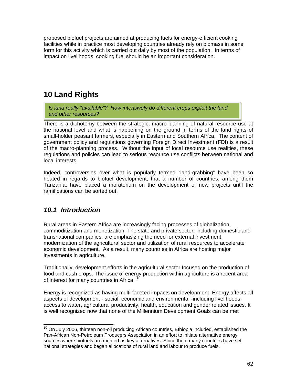proposed biofuel projects are aimed at producing fuels for energy-efficient cooking facilities while in practice most developing countries already rely on biomass in some form for this activity which is carried out daily by most of the population. In terms of impact on livelihoods, cooking fuel should be an important consideration.

# **10 Land Rights**

*Is land really "available"? How intensively do different crops exploit the land and other resources?*

There is a dichotomy between the strategic, macro-planning of natural resource use at the national level and what is happening on the ground in terms of the land rights of small-holder peasant farmers, especially in Eastern and Southern Africa. The content of government policy and regulations governing Foreign Direct Investment (FDI) is a result of the macro-planning process. Without the input of local resource use realities, these regulations and policies can lead to serious resource use conflicts between national and local interests.

Indeed, controversies over what is popularly termed "land-grabbing" have been so heated in regards to biofuel development, that a number of countries, among them Tanzania, have placed a moratorium on the development of new projects until the ramifications can be sorted out.

### *10.1 Introduction*

Rural areas in Eastern Africa are increasingly facing processes of globalization, commoditization and monetization. The state and private sector, including domestic and transnational companies, are emphasizing the need for external investment, modernization of the agricultural sector and utilization of rural resources to accelerate economic development. As a result, many countries in Africa are hosting major investments in agriculture.

Traditionally, development efforts in the agricultural sector focused on the production of food and cash crops. The issue of energy production within agriculture is a recent area of interest for many countries in Africa.

Energy is recognized as having multi-faceted impacts on development. Energy affects all aspects of development - social, economic and environmental -including livelihoods, access to water, agricultural productivity, health, education and gender related issues. It is well recognized now that none of the Millennium Development Goals can be met

<span id="page-61-0"></span>  $10$  On July 2006, thirteen non-oil producing African countries, Ethiopia included, established the Pan-African Non-Petroleum Producers Association in an effort to initiate alternative energy sources where biofuels are merited as key alternatives. Since then, many countries have set national strategies and began allocations of rural land and labour to produce fuels.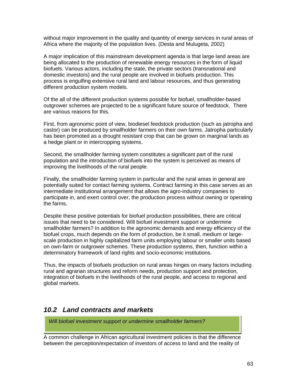without major improvement in the quality and quantity of energy services in rural areas of Africa where the majority of the population lives. (Desta and Mulugeta, 2002)

A major implication of this mainstream development agenda is that large land areas are being allocated to the production of renewable energy resources in the form of liquid biofuels. Various actors, including the state, the private sectors (transnational and domestic investors) and the rural people are involved in biofuels production. This process is engulfing extensive rural land and labour resources, and thus generating different production system models.

Of the all of the different production systems possible for biofuel, smallholder-based outgrower schemes are projected to be a significant future source of feedstock. There are various reasons for this.

First, from agronomic point of view, biodiesel feedstock production (such as jatropha and castor) can be produced by smallholder farmers on their own farms. Jatropha particularly has been promoted as a drought resistant crop that can be grown on marginal lands as a hedge plant or in intercropping systems.

Second, the smallholder farming system constitutes a significant part of the rural population and the introduction of biofuels into the system is perceived as means of improving the livelihoods of the rural people.

Finally, the smallholder farming system in particular and the rural areas in general are potentially suited for contact farming systems. Contract farming in this case serves as an intermediate institutional arrangement that allows the agro-industry companies to participate in, and exert control over, the production process without owning or operating the farms.

Despite these positive potentials for biofuel production possibilities, there are critical issues that need to be considered. Will biofuel investment support or undermine smallholder farmers? In addition to the agronomic demands and energy efficiency of the biofuel crops, much depends on the form of production, be it small, medium or largescale production in highly capitalized farm units employing labour or smaller units based on own-farm or outgrower schemes. These production systems, then, function within a determinatory framework of land rights and socio-economic institutions.

Thus, the impacts of biofuels production on rural areas hinges on many factors including rural and agrarian structures and reform needs, production support and protection, integration of biofuels in the livelihoods of the rural people, and access to regional and global markets.

#### *10.2 Land contracts and markets*

*Will biofuel investment support or undermine smallholder farmers?* 

A common challenge in African agricultural investment policies is that the difference between the perception/expectation of investors of access to land and the reality of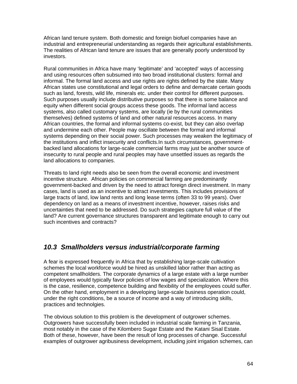African land tenure system. Both domestic and foreign biofuel companies have an industrial and entrepreneurial understanding as regards their agricultural establishments. The realities of African land tenure are issues that are generally poorly understood by investors.

Rural communities in Africa have many 'legitimate' and 'accepted' ways of accessing and using resources often subsumed into two broad institutional clusters: formal and informal. The formal land access and use rights are rights defined by the state. Many African states use constitutional and legal orders to define and demarcate certain goods such as land, forests, wild life, minerals etc. under their control for different purposes. Such purposes usually include distributive purposes so that there is some balance and equity when different social groups access these goods. The informal land access systems, also called customary systems, are locally (ie by the rural communities themselves) defined systems of land and other natural resources access. In many African countries, the formal and informal systems co-exist, but they can also overlap and undermine each other. People may oscillate between the formal and informal systems depending on their social power. Such processes may weaken the legitimacy of the institutions and inflict insecurity and conflicts.In such circumstances, governmentbacked land allocations for large-scale commercial farms may just be another source of insecurity to rural people and rural peoples may have unsettled issues as regards the land allocations to companies.

Threats to land right needs also be seen from the overall economic and investment incentive structure. African policies on commercial farming are predominantly government-backed and driven by the need to attract foreign direct investment. In many cases, land is used as an incentive to attract investments. This includes provisions of large tracts of land, low land rents and long lease terms (often 33 to 99 years). Over dependency on land as a means of investment incentive, however, raises risks and uncertainties that need to be addressed. Do such strategies capture full value of the land? Are current governance structures transparent and legitimate enough to carry out such incentives and contracts?

### *10.3 Smallholders versus industrial/corporate farming*

A fear is expressed frequently in Africa that by establishing large-scale cultivation schemes the local workforce would be hired as unskilled labor rather than acting as competent smallholders. The corporate dynamics of a large estate with a large number of employees would typically favor policies of low wages and specialization. Where this is the case, resilience, competence building and flexibility of the employees could suffer. On the other hand, employment in a developing large-scale business operation could, under the right conditions, be a source of income and a way of introducing skills, practices and technolgies.

The obvious solution to this problem is the development of outgrower schemes. Outgrowers have successfully been included in industrial scale farming in Tanzania, most notably in the case of the Kilombero Sugar Estate and the Katani Sisal Estate. Both of these, however, have been the result of long processes of change. Successful examples of outgrower agribusiness development, including joint irrigation schemes, can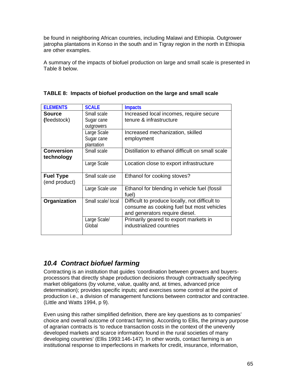be found in neighboring African countries, including Malawi and Ethiopia. Outgrower jatropha plantations in Konso in the south and in Tigray region in the north in Ethiopia are other examples.

A summary of the impacts of biofuel production on large and small scale is presented in Table 8 below.

| <b>ELEMENTS</b>   | <b>SCALE</b>      | <b>Impacts</b>                                   |
|-------------------|-------------------|--------------------------------------------------|
| <b>Source</b>     | Small scale       | Increased local incomes, require secure          |
| (feedstock)       | Sugar cane        | tenure & infrastructure                          |
|                   | outgrowers        |                                                  |
|                   | Large Scale       | Increased mechanization, skilled                 |
|                   | Sugar cane        | employment                                       |
|                   | plantation        |                                                  |
| <b>Conversion</b> | Small scale       | Distillation to ethanol difficult on small scale |
| technology        |                   |                                                  |
|                   | Large Scale       | Location close to export infrastructure          |
|                   |                   |                                                  |
| <b>Fuel Type</b>  | Small scale use   | Ethanol for cooking stoves?                      |
| (end product)     |                   |                                                  |
|                   | Large Scale use   | Ethanol for blending in vehicle fuel (fossil     |
|                   |                   | fuel)                                            |
| Organization      | Small scale/local | Difficult to produce locally, not difficult to   |
|                   |                   | consume as cooking fuel but most vehicles        |
|                   |                   | and generators require diesel.                   |
|                   | Large Scale/      | Primarily geared to export markets in            |
|                   | Global            | industrialized countries                         |
|                   |                   |                                                  |

#### **TABLE 8: Impacts of biofuel production on the large and small scale**

# *10.4 Contract biofuel farming*

Contracting is an institution that guides 'coordination between growers and buyersprocessors that directly shape production decisions through contractually specifying market obligations (by volume, value, quality and, at times, advanced price determination); provides specific inputs; and exercises some control at the point of production i.e., a division of management functions between contractor and contractee. (Little and Watts 1994, p 9).

Even using this rather simplified definition, there are key questions as to companies' choice and overall outcome of contract farming. According to Ellis, the primary purpose of agrarian contracts is 'to reduce transaction costs in the context of the unevenly developed markets and scarce information found in the rural societies of many developing countries' (Ellis 1993:146-147). In other words, contact farming is an institutional response to imperfections in markets for credit, insurance, information,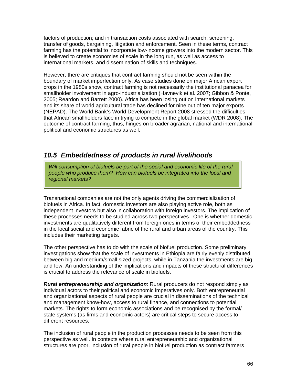factors of production; and in transaction costs associated with search, screening, transfer of goods, bargaining, litigation and enforcement. Seen in these terms, contract farming has the potential to incorporate low-income growers into the modern sector. This is believed to create economies of scale in the long run, as well as access to international markets, and dissemination of skills and techniques.

However, there are critiques that contract farming should not be seen within the boundary of market imperfection only. As case studies done on major African export crops in the 1980s show, contract farming is not necessarily the institutional panacea for smallholder involvement in agro-industrialization (Havnevik et.al. 2007; Gibbon & Ponte, 2005; Reardon and Barrett 2000). Africa has been losing out on international markets and its share of world agricultural trade has declined for nine out of ten major exports (NEPAD). The World Bank's World Development Report 2008 stressed the difficulties that African smallholders face in trying to compete in the global market (WDR 2008). The outcome of contract farming, thus, hinges on broader agrarian, national and international political and economic structures as well.

### *10.5 Embeddedness of products in rural livelihoods*

*Will consumption of biofuels be part of the social and economic life of the rural people who produce them? How can biofuels be integrated into the local and regional markets?* 

Transnational companies are not the only agents driving the commercialization of biofuels in Africa. In fact, domestic investors are also playing active role, both as independent investors but also in collaboration with foreign investors. The implication of these processes needs to be studied across two perspectives. One is whether domestic investments are qualitatively different from foreign ones in terms of their embeddedness in the local social and economic fabric of the rural and urban areas of the country. This includes their marketing targets.

The other perspective has to do with the scale of biofuel production. Some preliminary investigations show that the scale of investments in Ethiopia are fairly evenly distributed between big and medium/small sized projects, while in Tanzania the investments are big and few. An understanding of the implications and impacts of these structural differences is crucial to address the relevance of scale in biofuels.

*Rural entrepreneurship and organization*: Rural producers do not respond simply as individual actors to their political and economic imperatives only. Both entrepreneurial and organizational aspects of rural people are crucial in disseminations of the technical and management know-how, access to rural finance, and connections to potential markets. The rights to form economic associations and be recognised by the formal/ state systems (as firms and economic actors) are critical steps to secure access to different resources.

The inclusion of rural people in the production processes needs to be seen from this perspective as well. In contexts where rural entrepreneurship and organizational structures are poor, inclusion of rural people in biofuel production as contract farmers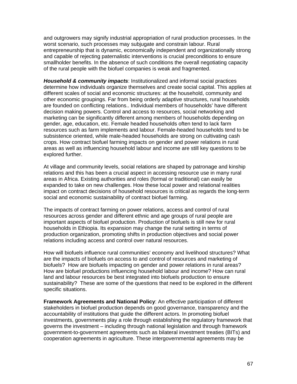and outgrowers may signify industrial appropriation of rural production processes. In the worst scenario, such processes may subjugate and constrain labour. Rural entrepreneurship that is dynamic, economically independent and organizationally strong and capable of rejecting paternalistic interventions is crucial preconditions to ensure smallholder benefits. In the absence of such conditions the overall negotiating capacity of the rural people with the biofuel companies is weak and fragmented.

*Household & community impacts*: Institutionalized and informal social practices determine how individuals organize themselves and create social capital. This applies at different scales of social and economic structures: at the household, community and other economic groupings. Far from being orderly adaptive structures, rural households are founded on conflicting relations.. Individual members of households' have different decision making powers. Control and access to resources, social networking and marketing can be significantly different among members of households depending on gender, age, education, etc. Female headed households often tend to lack farm resources such as farm implements and labour. Female-headed households tend to be subsistence oriented, while male-headed households are strong on cultivating cash crops. How contract biofuel farming impacts on gender and power relations in rural areas as well as influencing household labour and income are still key questions to be explored further.

At village and community levels, social relations are shaped by patronage and kinship relations and this has been a crucial aspect in accessing resource use in many rural areas in Africa. Existing authorities and roles (formal or traditional) can easily be expanded to take on new challenges. How these local power and relational realities impact on contract decisions of household resources is critical as regards the long-term social and economic sustainability of contract biofuel farming.

The impacts of contract farming on power relations, access and control of rural resources across gender and different ethnic and age groups of rural people are important aspects of biofuel production. Production of biofuels is still new for rural households in Ethiopia. Its expansion may change the rural setting in terms of production organization, promoting shifts in production objectives and social power relations including access and control over natural resources.

How will biofuels influence rural communities' economy and livelihood structures? What are the impacts of biofuels on access to and control of resources and marketing of biofuels? How are biofuels impacting on gender and power relations in rural areas? How are biofuel productions influencing household labour and income? How can rural land and labour resources be best integrated into biofuels production to ensure sustainability? These are some of the questions that need to be explored in the different specific situations.

**Framework Agreements and National Policy**: An effective participation of different stakeholders in biofuel production depends on good governance, transparency and the accountability of institutions that guide the different actors. In promoting biofuel investments, governments play a role through establishing the regulatory framework that governs the investment – including through national legislation and through framework government-to-government agreements such as bilateral investment treaties (BITs) and cooperation agreements in agriculture. These intergovernmental agreements may be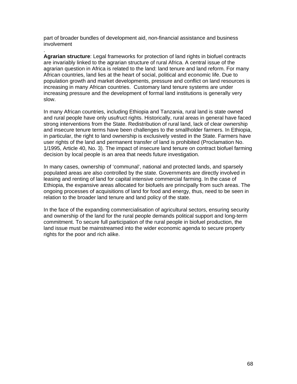part of broader bundles of development aid, non-financial assistance and business involvement

.

**Agrarian structure**: Legal frameworks for protection of land rights in biofuel contracts are invariably linked to the agrarian structure of rural Africa. A central issue of the agrarian question in Africa is related to the land: land tenure and land reform. For many African countries, land lies at the heart of social, political and economic life. Due to population growth and market developments, pressure and conflict on land resources is increasing in many African countries. Customary land tenure systems are under increasing pressure and the development of formal land institutions is generally very slow.

In many African countries, including Ethiopia and Tanzania, rural land is state owned and rural people have only usufruct rights. Historically, rural areas in general have faced strong interventions from the State. Redistribution of rural land, lack of clear ownership and insecure tenure terms have been challenges to the smallholder farmers. In Ethiopia, in particular, the right to land ownership is exclusively vested in the State. Farmers have user rights of the land and permanent transfer of land is prohibited (Proclamation No. 1/1995, Article 40, No. 3). The impact of insecure land tenure on contract biofuel farming decision by local people is an area that needs future investigation.

In many cases, ownership of 'communal', national and protected lands, and sparsely populated areas are also controlled by the state. Governments are directly involved in leasing and renting of land for capital intensive commercial farming. In the case of Ethiopia, the expansive areas allocated for biofuels are principally from such areas. The ongoing processes of acquisitions of land for food and energy, thus, need to be seen in relation to the broader land tenure and land policy of the state.

In the face of the expanding commercialisation of agricultural sectors, ensuring security and ownership of the land for the rural people demands political support and long-term commitment. To secure full participation of the rural people in biofuel production, the land issue must be mainstreamed into the wider economic agenda to secure property rights for the poor and rich alike.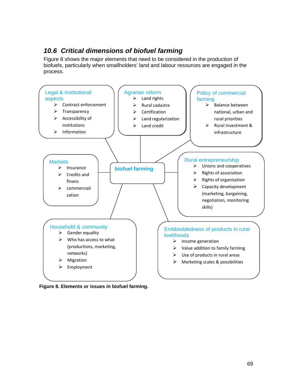# *10.6 Critical dimensions of biofuel farming*

Figure 8 shows the major elements that need to be considered in the production of biofuels, particularly when smallholders' land and labour resources are engaged in the process.



**Figure 8. Elements or issues in biofuel farming.**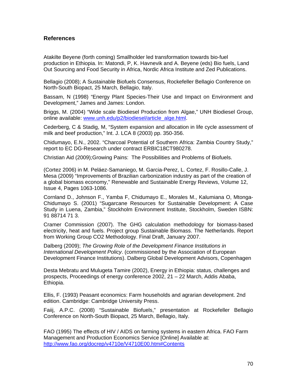#### **References**

Atakilte Beyene (forth coming) Smallholder led transformation towards bio-fuel production in Ethiopia. In: Matondi, P, K. Havnevik and A. Beyene (eds) Bio fuels, Land Out Sourcing and Food Security in Africa, Nordic Africa Institute and Zed Publications.

Bellagio (2008); A Sustainable Biofuels Consensus, Rockefeller Bellagio Conference on North-South Biopact, 25 March, Bellagio, Italy.

Bassam, N (1998) "Energy Plant Species-Their Use and Impact on Environment and Development," James and James: London.

Briggs, M. (2004) "Wide scale Biodiesel Production from Algae," UNH Biodiesel Group, online available: [www.unh.edu/p2/biodiesel/article\\_alge.html](http://www.unh.edu/p2/biodiesel/article_alge.html).

Cederberg, C & Stadig, M, "System expansion and allocation in life cycle assessment of milk and beef production," Int. J. LCA 8 (2003) pp. 350-356.

Chidumayo, E.N., 2002. "Charcoal Potential of Southern Africa: Zambia Country Study," report to EC DG-Research under contract ERBIC18CT980278.

Christian Aid (2009);Growing Pains: The Possibilities and Problems of Biofuels.

(Cortez 2006) in M. Peláez-Samaniego, M. Garcia-Perez, L. Cortez, F. Rosillo-Calle, J. Mesa (2009) "Improvements of Brazilian carbonization industry as part of the creation of a global biomass economy," Renewable and Sustainable Energy Reviews, Volume 12, Issue 4, Pages 1063-1086.

Cornland D., Johnson F., Yamba F, Chidumayo E., Morales M., Kalumiana O, Mtonga-Chidumayo S. (2001) "Sugarcane Resources for Sustainable Development: A Case Study in Luena, Zambia," Stockholm Environment Institute, Stockholm, Sweden ISBN: 91 88714 71 3.

Cramer Commission (2007). The GHG calculation methodology for biomass-based electricity, heat and fuels. Project group Sustainable Biomass. The Netherlands. Report from Working Group CO2 Methodology. Final Draft, January 2007.

Dalberg (2009); *The Growing Role of the Development Finance Institutions in International Development Policy*. (commissioned by the Association of European Development Finance Institutions). Dalberg Global Development Advisors, Copenhagen

Desta Mebratu and Mulugeta Tamire (2002), Energy in Ethiopia: status, challenges and prospects, Proceedings of energy conference 2002, 21 – 22 March, Addis Ababa, Ethiopia.

Ellis, F. (1993) Peasant economics: Farm households and agrarian development. 2nd edition. Cambridge: Cambridge University Press.

Faiij, A.P.C. (2008) "Sustainable Biofuels," presentation at Rockefeller Bellagio Conference on North-South Biopact, 25 March, Bellagio, Italy.

FAO (1995) The effects of HIV / AIDS on farming systems in eastern Africa. FAO Farm Management and Production Economics Service [Online] Available at: <http://www.fao.org/docrep/v4710e/V4710E00.htm#Contents>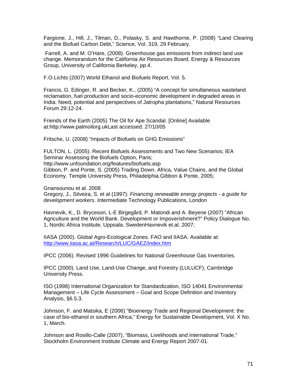Fargione, J., Hill, J., Tilman, D., Polasky, S. and Hawthorne, P. (2008) "Land Clearing and the Biofuel Carbon Debt," Science, Vol. 319, 29 February.

 Farrell, A. and M. O'Hare, (2008). Greenhouse gas emissions from indirect land use change. Memorandum for the California Air Resources Board. Energy & Resources Group, University of California Berkeley, pp.4.

F.O.Lichts (2007) World Ethanol and Biofuels Report, Vol. 5.

Francis, G. Edinger, R. and Becker, K., (2005) "A concept for simultaneous wasteland reclamation, fuel production and socio-economic development in degraded areas in India: Need, potential and perspectives of Jatropha plantations," Natural Resources Forum 29:12-24.

Friends of the Earth (2005) The Oil for Ape Scandal. [Online] Available at:http://www.palmoilorg.ukLast accessed: 27/10/05

Fritsche, U. (2008) "Impacts of Biofuels on GHG Emissions"

FULTON, L. (2005). Recent Biofuels Assessments and Two New Scenarios; IEA Seminar Assessing the Biofuels Option, Paris; http://www.unfoundation.org/features/biofuels.asp Gibbon, P. and Ponte, S. (2005) Trading Down. Africa, Value Chains, and the Global Economy. Temple University Press, Philadelphia.Gibbon & Ponte, 2005;

Gnansounou et al. 2008

Gregory, J., Silveira, S. et al (1997): *Financing renewable energy projects* - *a guide for development workers*. Intermediate Technology Publications, London

Havnevik, K., D. Bryceson, L-E Birgegård, P. Matondi and A. Beyene (2007) "African Agriculture and the World Bank. Development or Impoverishment?" Policy Dialogue No. 1, Nordic Africa Institute, Uppsala, SwedenHavnevik et.al. 2007;

IIASA (2000). Global Agro-Ecological Zones. FAO and IIASA. Available at: <http://www.iiasa.ac.at/Research/LUC/GAEZ/index.htm>

IPCC (2006). Revised 1996 Guidelines for National Greenhouse Gas Inventories.

IPCC (2000). Land Use, Land-Use Change, and Forestry (LULUCF), Cambridge University Press.

ISO (1998) International Organization for Standardization, ISO 14041 Environmental Management – Life Cycle Assessment – Goal and Scope Definition and Inventory Analysis, §6.5.3.

Johnson, F. and Matsika, E (2006) "Bioenergy Trade and Regional Development: the case of bio-ethanol in southern Africa," Energy for Sustainable Development, Vol. X No. 1, March.

Johnson and Rosillo-Calle (2007), "Biomass, Livelihoods and International Trade," Stockholm Environment Institute Climate and Energy Report 2007-01.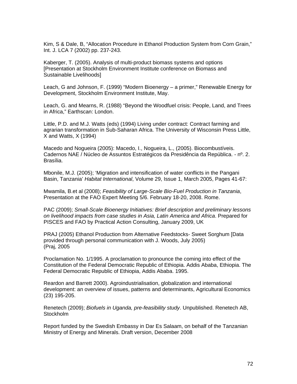Kim, S & Dale, B, "Allocation Procedure in Ethanol Production System from Corn Grain," Int. J. LCA 7 (2002) pp. 237-243.

Kaberger, T. (2005). Analysis of multi-product biomass systems and options [Presentation at Stockholm Environment Institute conference on Biomass and Sustainable Livelihoods]

Leach, G and Johnson, F. (1999) "Modern Bioenergy – a primer," Renewable Energy for Development, Stockholm Environment Institute, May.

Leach, G. and Mearns, R. (1988) "Beyond the Woodfuel crisis: People, Land, and Trees in Africa," Earthscan: London.

Little, P.D. and M.J. Watts (eds) (1994) Living under contract: Contract farming and agrarian transformation in Sub-Saharan Africa. The University of Wisconsin Press Little, X and Watts, X (1994)

Macedo and Nogueira (2005): Macedo, I., Nogueira, L., (2005). Biocombustíveis. Cadernos NAE / Núcleo de Assuntos Estratégicos da Presidência da República. - nº. 2. Brasília.

Mbonile, M.J. (2005); 'Migration and intensification of water conflicts in the Pangani Basin, Tanzania' *Habitat International*, Volume 29, Issue 1, March 2005, Pages 41-67:

Mwamila, B.et al (2008); *Feasibility of Large-Scale Bio-Fuel Production in Tanzania*, Presentation at the FAO Expert Meeting 5/6. February 18-20, 2008. Rome.

PAC (2009); *Small-Scale Bioenergy Initiatives: Brief description and preliminary lessons on livelihood impacts from case studies in Asia, Latin America and Africa*. Prepared for PISCES and FAO by Practical Action Consulting, January 2009, UK

PRAJ (2005) Ethanol Production from Alternative Feedstocks- Sweet Sorghum [Data provided through personal communication with J. Woods, July 2005) (Praj, 2005

Proclamation No. 1/1995. A proclamation to pronounce the coming into effect of the Constitution of the Federal Democratic Republic of Ethiopia. Addis Ababa, Ethiopia. The Federal Democratic Republic of Ethiopia, Addis Ababa. 1995.

Reardon and Barrett 2000). Agroindustrialisation, globalization and international development: an overview of issues, patterns and determinants, Agricultural Economics (23) 195-205.

Renetech (2009); *Biofuels in Uganda, pre-feasibility study*. Unpublished. Renetech AB, **Stockholm** 

Report funded by the Swedish Embassy in Dar Es Salaam, on behalf of the Tanzanian Ministry of Energy and Minerals. Draft version, December 2008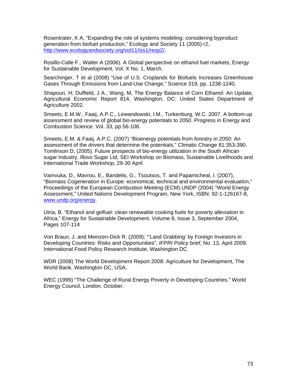Rosentrater, K A, "Expanding the role of systems modeling: considering byproduct generation from biofuel production," Ecology and Society 11 (2005) r2, <http://www.ecologyandsociety.org/vol11/iss1/resp2/>.

Rosillo-Calle F., Walter A (2006). A Global perspective on ethanol fuel markets, Energy for Sustainable Development, Vol. X No. 1, March.

Searchinger, T et al (2008) "Use of U.S. Croplands for Biofuels Increases Greenhouse Gases Through Emissions from Land-Use Change," Science 319, pp. 1238-1240.

Shapouri, H; Duffield, J A.; Wang, M, The Energy Balance of Corn Ethanol: An Update, Agricultural Economic Report 814, Washington, DC: United States Department of Agriculture 2002.

Smeets, E.M.W., Faaij, A.P.C., Lewandowski, I.M., Turkenburg, W.C. 2007. A bottom-up assessment and review of global bio-energy potentials to 2050. Progress in Energy and Combustion Science. Vol. 33, pp 56-106.

Smeets, E.M. & Faaij, A.P.C. (2007) "Bioenergy potentials from forestry in 2050: An assessment of the drivers that determine the potentials," Climatic Change 81:353-390. Tomlinson D, (2005). Future prospects of bio-energy utilization in the South African sugar industry, Illovo Sugar Ltd, SEI Workshop on Biomass, Sustainable Livelihoods and International Trade Workshop, 29-30 April

Vamvuka, D., Mavrou, E., Bandelis, G., Tsoutsos, T. and Papamicheal, I. (2007), "Biomass Cogeneration in Europe: economical, technical and environmental evaluation," Proceedings of the European Combustion Meeting (ECM).UNDP (2004) "World Energy Assessment," United Nations Development Program, New York, ISBN: 92-1-126167-8, [www.undp.org/energy.](http://www.undp.org/energy)

Utria, B. "Ethanol and gelfuel: clean renewable cooking fuels for poverty alleviation in Africa," Energy for Sustainable Development. Volume 8, Issue 3, September 2004, Pages 107-114

Von Braun, J. and Meinzen-Dick R. (2009); "'Land Grabbing' by Foreign Investors in Developing Countries: Risks and Opportunities", *IFPRI Policy brief,* No. 13, April 2009. International Food Policy Research Institute, Washington DC

WDR (2008) The World Development Report 2008: Agriculture for Development, The World Bank, Washington DC, USA.

WEC (1999) "The Challenge of Rural Energy Poverty in Developing Countries," World Energy Council, London, October.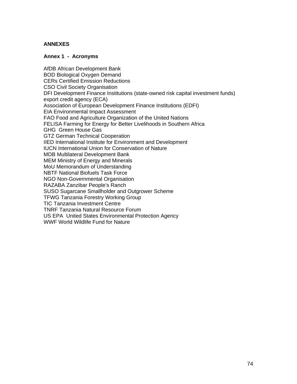# **ANNEXES**

## **Annex 1 - Acronyms**

AfDB African Development Bank BOD Biological Oxygen Demand CERs Certified Emission Reductions CSO Civil Society Organisation DFI Development Finance Institutions (state-owned risk capital investment funds) export credit agency (ECA) Association of European Development Finance Institutions (EDFI) EIA Environmental Impact Assessment FAO Food and Agriculture Organization of the United Nations FELISA Farming for Energy for Better Livelihoods in Southern Africa GHG Green House Gas GTZ German Technical Cooperation IIED International Institute for Environment and Development IUCN International Union for Conservation of Nature MDB Multilateral Development Bank MEM Ministry of Energy and Minerals MoU Memorandum of Understanding NBTF National Biofuels Task Force NGO Non-Governmental Organisation RAZABA Zanzibar People's Ranch SUSO Sugarcane Smallholder and Outgrower Scheme TFWG Tanzania Forestry Working Group TIC Tanzania Investment Centre TNRF Tanzania Natural Resource Forum US EPA United States Environmental Protection Agency WWF World Wildlife Fund for Nature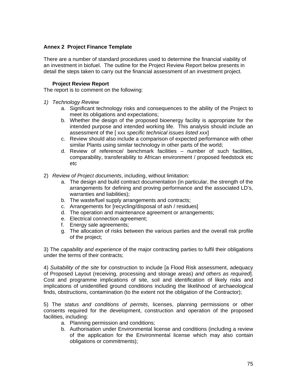# **Annex 2 Project Finance Template**

There are a number of standard procedures used to determine the financial viability of an investment in biofuel. The outline for the Project Review Report below presents in detail the steps taken to carry out the financial assessment of an investment project.

# **Project Review Report**

The report is to comment on the following:

- *1) Technology Review* 
	- a. Significant technology risks and consequences to the ability of the Project to meet its obligations and expectations;
	- b. Whether the design of the proposed bioenergy facility is appropriate for the intended purpose and intended working life. This analysis should include an assessment of the [ xxx *specific technical issues listed xxx*]
	- c. Review should also include a comparison of expected performance with other similar Plants using similar technology in other parts of the world;
	- d. Review of reference/ benchmark facilities number of such facilities, comparability, transferability to African environment / proposed feedstock etc etc
- 2) *Review of Project documents*, including, without limitation:
	- a. The design and build contract documentation (in particular, the strength of the arrangements for defining and proving performance and the associated LD's, warranties and liabilities);
	- b. The waste/fuel supply arrangements and contracts;
	- c. Arrangements for [recycling/disposal of ash / residues]
	- d. The operation and maintenance agreement or arrangements;
	- e. Electrical connection agreement;
	- f. Energy sale agreements;
	- g. The allocation of risks between the various parties and the overall risk profile of the project;

3) The *capability and experience* of the major contracting parties to fulfil their obligations under the terms of their contracts;

4) *Suitability of the site* for construction to include [a Flood Risk assessment, adequacy of Proposed Layout (receiving, processing and storage areas) *and others as required*]. Cost and programme implications of site, soil and identification of likely risks and implications of unidentified ground conditions including the likelihood of archaeological finds, obstructions, contamination (to the extent not the obligation of the Contractor);

5) The *status and conditions of permits*, licenses, planning permissions or other consents required for the development, construction and operation of the proposed facilities, including:

- a. Planning permission and conditions;
- b. Authorisation under Environmental license and conditions (including a review of the application for the Environmental license which may also contain obligations or commitments);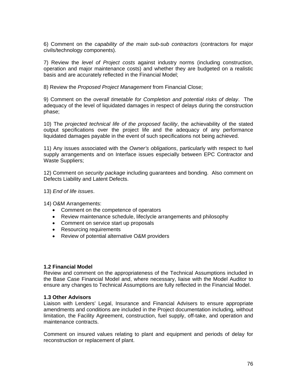6) Comment on the *capability of the main sub-sub contractors* (contractors for major civils/technology components).

7) Review the *level of Project costs* against industry norms (including construction, operation and major maintenance costs) and whether they are budgeted on a realistic basis and are accurately reflected in the Financial Model;

8) Review the *Proposed Project Management* from Financial Close;

9) Comment on the *overall timetable for Completion and potential risks of delay*. The adequacy of the level of liquidated damages in respect of delays during the construction phase;

10) The *projected technical life of the proposed facility*, the achievability of the stated output specifications over the project life and the adequacy of any performance liquidated damages payable in the event of such specifications not being achieved.

11) Any issues associated with the *Owner's obligations*, particularly with respect to fuel supply arrangements and on Interface issues especially between EPC Contractor and Waste Suppliers;

12) Comment on *security package* including guarantees and bonding. Also comment on Defects Liability and Latent Defects.

## 13) *End of life issues*.

14) O&M Arrangements:

- Comment on the competence of operators
- Review maintenance schedule, lifeclycle arrangements and philosophy
- Comment on service start up proposals
- Resourcing requirements
- Review of potential alternative O&M providers

#### **1.2 Financial Model**

Review and comment on the appropriateness of the Technical Assumptions included in the Base Case Financial Model and, where necessary, liaise with the Model Auditor to ensure any changes to Technical Assumptions are fully reflected in the Financial Model.

#### **1.3 Other Advisors**

Liaison with Lenders' Legal, Insurance and Financial Advisers to ensure appropriate amendments and conditions are included in the Project documentation including, without limitation, the Facility Agreement, construction, fuel supply, off-take, and operation and maintenance contracts.

Comment on insured values relating to plant and equipment and periods of delay for reconstruction or replacement of plant.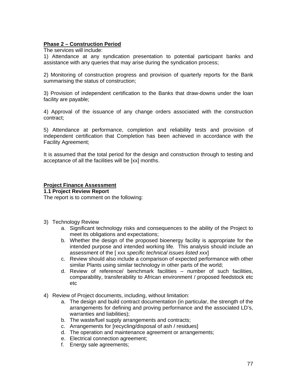# **Phase 2 – Construction Period**

The services will include:

1) Attendance at any syndication presentation to potential participant banks and assistance with any queries that may arise during the syndication process;

2) Monitoring of construction progress and provision of quarterly reports for the Bank summarising the status of construction;

3) Provision of independent certification to the Banks that draw-downs under the loan facility are payable;

4) Approval of the issuance of any change orders associated with the construction contract;

5) Attendance at performance, completion and reliability tests and provision of independent certification that Completion has been achieved in accordance with the Facility Agreement;

It is assumed that the total period for the design and construction through to testing and acceptance of all the facilities will be [xx] months.

# **Project Finance Assessment**

**1.1 Project Review Report** 

The report is to comment on the following:

- 3) Technology Review
	- a. Significant technology risks and consequences to the ability of the Project to meet its obligations and expectations;
	- b. Whether the design of the proposed bioenergy facility is appropriate for the intended purpose and intended working life. This analysis should include an assessment of the [ xxx *specific technical issues listed xxx*]
	- c. Review should also include a comparison of expected performance with other similar Plants using similar technology in other parts of the world;
	- d. Review of reference/ benchmark facilities number of such facilities, comparability, transferability to African environment / proposed feedstock etc etc
- 4) Review of Project documents, including, without limitation:
	- a. The design and build contract documentation (in particular, the strength of the arrangements for defining and proving performance and the associated LD's, warranties and liabilities);
	- b. The waste/fuel supply arrangements and contracts;
	- c. Arrangements for [recycling/disposal of ash / residues]
	- d. The operation and maintenance agreement or arrangements;
	- e. Electrical connection agreement;
	- f. Energy sale agreements;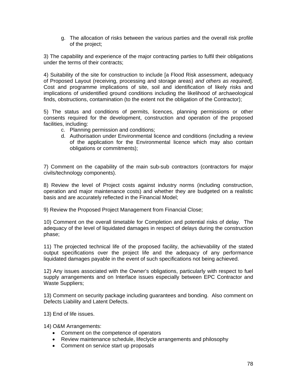g. The allocation of risks between the various parties and the overall risk profile of the project;

3) The capability and experience of the major contracting parties to fulfil their obligations under the terms of their contracts;

4) Suitability of the site for construction to include [a Flood Risk assessment, adequacy of Proposed Layout (receiving, processing and storage areas) *and others as required*]. Cost and programme implications of site, soil and identification of likely risks and implications of unidentified ground conditions including the likelihood of archaeological finds, obstructions, contamination (to the extent not the obligation of the Contractor);

5) The status and conditions of permits, licences, planning permissions or other consents required for the development, construction and operation of the proposed facilities, including:

- c. Planning permission and conditions;
- d. Authorisation under Environmental licence and conditions (including a review of the application for the Environmental licence which may also contain obligations or commitments);

7) Comment on the capability of the main sub-sub contractors (contractors for major civils/technology components).

8) Review the level of Project costs against industry norms (including construction, operation and major maintenance costs) and whether they are budgeted on a realistic basis and are accurately reflected in the Financial Model;

9) Review the Proposed Project Management from Financial Close;

10) Comment on the overall timetable for Completion and potential risks of delay. The adequacy of the level of liquidated damages in respect of delays during the construction phase;

11) The projected technical life of the proposed facility, the achievability of the stated output specifications over the project life and the adequacy of any performance liquidated damages payable in the event of such specifications not being achieved.

12) Any issues associated with the Owner's obligations, particularly with respect to fuel supply arrangements and on Interface issues especially between EPC Contractor and Waste Suppliers;

13) Comment on security package including guarantees and bonding. Also comment on Defects Liability and Latent Defects.

13) End of life issues.

14) O&M Arrangements:

- Comment on the competence of operators
- Review maintenance schedule, lifeclycle arrangements and philosophy
- Comment on service start up proposals